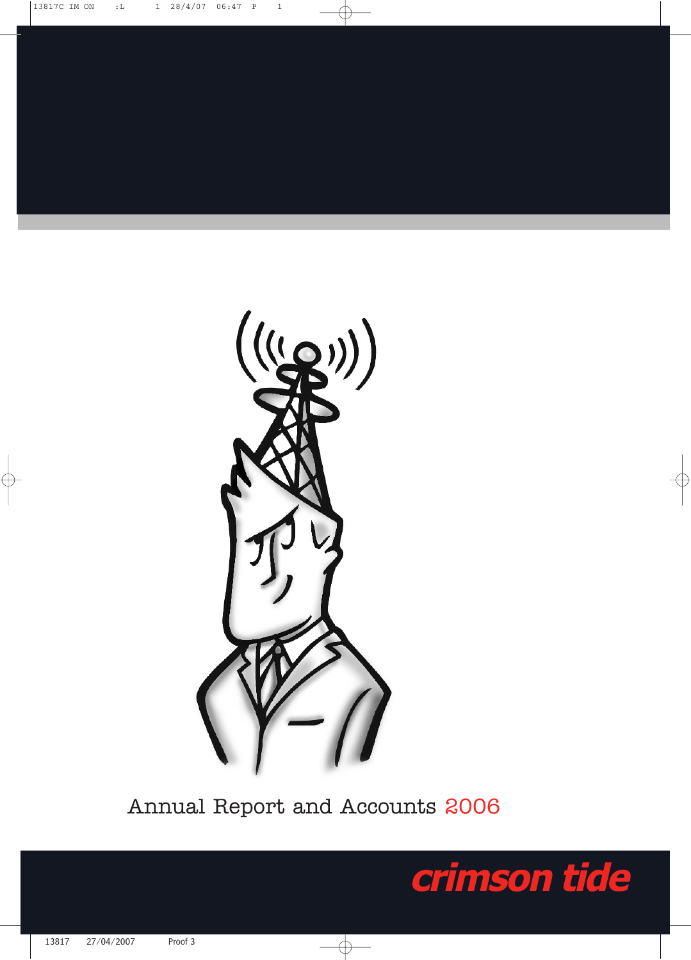

Annual Report and Accounts 2006

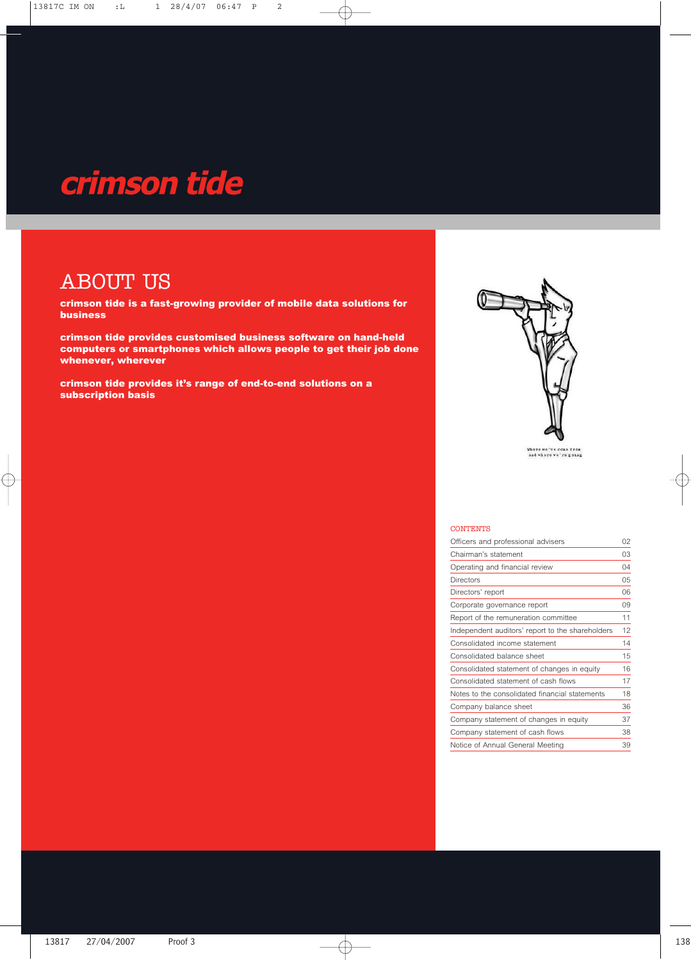# crimson tide

## ABOUT US

*crimson tide is a fast-growing provider of mobile data solutions for business*

*crimson tide provides customised business software on hand-held computers or smartphones which allows people to get their job done whenever, wherever*

*crimson tide provides it's range of end-to-end solutions on a subscription basis*



Where we've come from<br>and where we're going

#### CONTENTS

| 02 |
|----|
| 03 |
| 04 |
| 05 |
| 06 |
| 09 |
| 11 |
| 12 |
| 14 |
| 15 |
| 16 |
| 17 |
| 18 |
| 36 |
| 37 |
| 38 |
| 39 |
|    |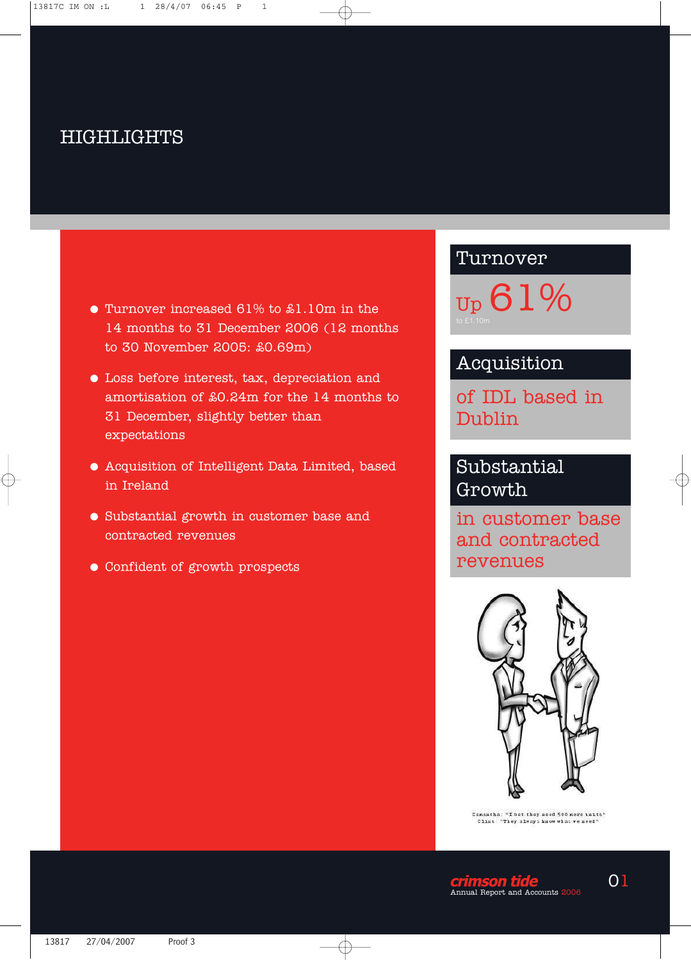## HIGHLIGHTS

- **●** Turnover increased 61% to £1.10m in the 14 months to 31 December 2006 (12 months to 30 November 2005: £0.69m)
- **●** Loss before interest, tax, depreciation and amortisation of £0.24m for the 14 months to 31 December, slightly better than expectations
- **●** Acquisition of Intelligent Data Limited, based in Ireland
- **●** Substantial growth in customer base and contracted revenues
- **●** Confident of growth prospects

## Turnover

Up 61%

## Acquisition

of IDL based in Dublin

Substantial Growth

in customer base and contracted revenues



Canantha: "I bet they need 500 nore units" Clint: "They always know what we need"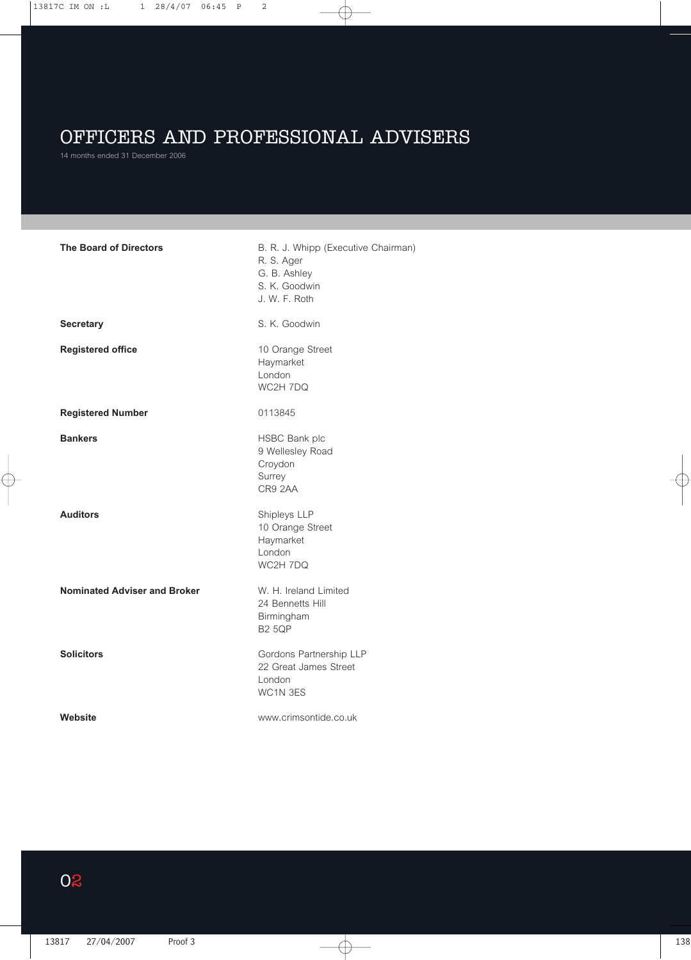## OFFICERS AND PROFESSIONAL ADVISERS

14 months ended 31 December 2006

| <b>The Board of Directors</b>       | B. R. J. Whipp (Executive Chairman)<br>R. S. Ager<br>G. B. Ashley<br>S. K. Goodwin<br>J. W. F. Roth |
|-------------------------------------|-----------------------------------------------------------------------------------------------------|
| <b>Secretary</b>                    | S. K. Goodwin                                                                                       |
| <b>Registered office</b>            | 10 Orange Street<br>Haymarket<br>London<br>WC2H 7DQ                                                 |
| <b>Registered Number</b>            | 0113845                                                                                             |
| <b>Bankers</b>                      | <b>HSBC Bank plc</b><br>9 Wellesley Road<br>Croydon<br>Surrey<br>CR9 2AA                            |
| <b>Auditors</b>                     | Shipleys LLP<br>10 Orange Street<br>Haymarket<br>London<br>WC2H 7DQ                                 |
| <b>Nominated Adviser and Broker</b> | W. H. Ireland Limited<br>24 Bennetts Hill<br>Birmingham<br><b>B2 5QP</b>                            |
| <b>Solicitors</b>                   | Gordons Partnership LLP<br>22 Great James Street<br>London<br>WC1N 3ES                              |
| Website                             | www.crimsontide.co.uk                                                                               |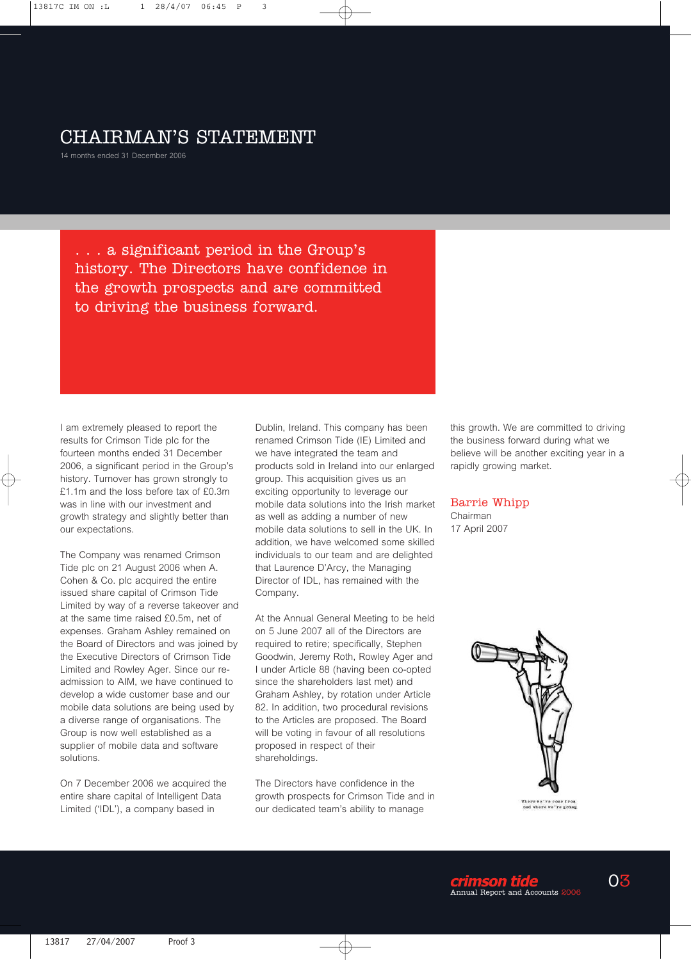## CHAIRMAN'S STATEMENT

14 months ended 31 December 2006

. . . a significant period in the Group's history. The Directors have confidence in the growth prospects and are committed to driving the business forward.

I am extremely pleased to report the results for Crimson Tide plc for the fourteen months ended 31 December 2006, a significant period in the Group's history. Turnover has grown strongly to £1.1m and the loss before tax of £0.3m was in line with our investment and growth strategy and slightly better than our expectations.

The Company was renamed Crimson Tide plc on 21 August 2006 when A. Cohen & Co. plc acquired the entire issued share capital of Crimson Tide Limited by way of a reverse takeover and at the same time raised £0.5m, net of expenses. Graham Ashley remained on the Board of Directors and was joined by the Executive Directors of Crimson Tide Limited and Rowley Ager. Since our readmission to AIM, we have continued to develop a wide customer base and our mobile data solutions are being used by a diverse range of organisations. The Group is now well established as a supplier of mobile data and software solutions.

On 7 December 2006 we acquired the entire share capital of Intelligent Data Limited ('IDL'), a company based in

Dublin, Ireland. This company has been renamed Crimson Tide (IE) Limited and we have integrated the team and products sold in Ireland into our enlarged group. This acquisition gives us an exciting opportunity to leverage our mobile data solutions into the Irish market as well as adding a number of new mobile data solutions to sell in the UK. In addition, we have welcomed some skilled individuals to our team and are delighted that Laurence D'Arcy, the Managing Director of IDL, has remained with the Company.

At the Annual General Meeting to be held on 5 June 2007 all of the Directors are required to retire; specifically, Stephen Goodwin, Jeremy Roth, Rowley Ager and I under Article 88 (having been co-opted since the shareholders last met) and Graham Ashley, by rotation under Article 82. In addition, two procedural revisions to the Articles are proposed. The Board will be voting in favour of all resolutions proposed in respect of their shareholdings.

The Directors have confidence in the growth prospects for Crimson Tide and in our dedicated team's ability to manage

this growth. We are committed to driving the business forward during what we believe will be another exciting year in a rapidly growing market.

Barrie Whipp Chairman

17 April 2007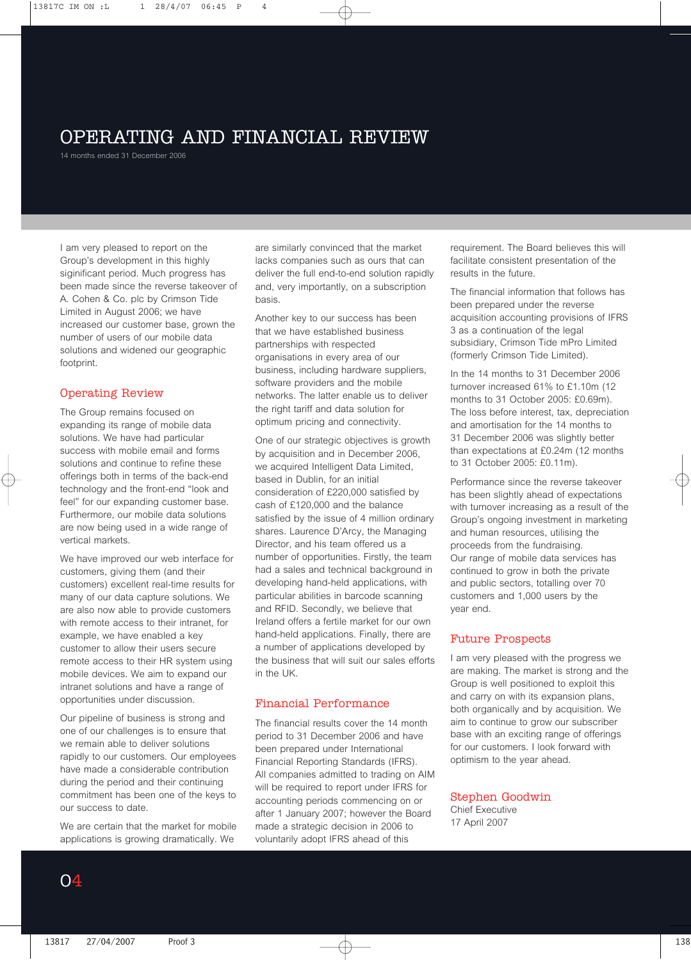## OPERATING AND FINANCIAL REVIEW

14 months ended 31 December 2006

I am very pleased to report on the Group's development in this highly siginificant period. Much progress has been made since the reverse takeover of A. Cohen & Co. plc by Crimson Tide Limited in August 2006; we have increased our customer base, grown the number of users of our mobile data solutions and widened our geographic footprint.

## Operating Review

The Group remains focused on expanding its range of mobile data solutions. We have had particular success with mobile email and forms solutions and continue to refine these offerings both in terms of the back-end technology and the front-end "look and feel" for our expanding customer base. Furthermore, our mobile data solutions are now being used in a wide range of vertical markets.

We have improved our web interface for customers, giving them (and their customers) excellent real-time results for many of our data capture solutions. We are also now able to provide customers with remote access to their intranet, for example, we have enabled a key customer to allow their users secure remote access to their HR system using mobile devices. We aim to expand our intranet solutions and have a range of opportunities under discussion.

Our pipeline of business is strong and one of our challenges is to ensure that we remain able to deliver solutions rapidly to our customers. Our employees have made a considerable contribution during the period and their continuing commitment has been one of the keys to our success to date.

We are certain that the market for mobile applications is growing dramatically. We

are similarly convinced that the market lacks companies such as ours that can deliver the full end-to-end solution rapidly and, very importantly, on a subscription basis.

Another key to our success has been that we have established business partnerships with respected organisations in every area of our business, including hardware suppliers, software providers and the mobile networks. The latter enable us to deliver the right tariff and data solution for optimum pricing and connectivity.

One of our strategic objectives is growth by acquisition and in December 2006, we acquired Intelligent Data Limited, based in Dublin, for an initial consideration of £220,000 satisfied by cash of £120,000 and the balance satisfied by the issue of 4 million ordinary shares. Laurence D'Arcy, the Managing Director, and his team offered us a number of opportunities. Firstly, the team had a sales and technical background in developing hand-held applications, with particular abilities in barcode scanning and RFID. Secondly, we believe that Ireland offers a fertile market for our own hand-held applications. Finally, there are a number of applications developed by the business that will suit our sales efforts in the UK.

## Financial Performance

The financial results cover the 14 month period to 31 December 2006 and have been prepared under International Financial Reporting Standards (IFRS). All companies admitted to trading on AIM will be required to report under IFRS for accounting periods commencing on or after 1 January 2007; however the Board made a strategic decision in 2006 to voluntarily adopt IFRS ahead of this

requirement. The Board believes this will facilitate consistent presentation of the results in the future.

The financial information that follows has been prepared under the reverse acquisition accounting provisions of IFRS 3 as a continuation of the legal subsidiary, Crimson Tide mPro Limited (formerly Crimson Tide Limited).

In the 14 months to 31 December 2006 turnover increased 61% to £1.10m (12 months to 31 October 2005: £0.69m). The loss before interest, tax, depreciation and amortisation for the 14 months to 31 December 2006 was slightly better than expectations at £0.24m (12 months to 31 October 2005: £0.11m).

Performance since the reverse takeover has been slightly ahead of expectations with turnover increasing as a result of the Group's ongoing investment in marketing and human resources, utilising the proceeds from the fundraising. Our range of mobile data services has continued to grow in both the private and public sectors, totalling over 70 customers and 1,000 users by the year end.

## Future Prospects

I am very pleased with the progress we are making. The market is strong and the Group is well positioned to exploit this and carry on with its expansion plans, both organically and by acquisition. We aim to continue to grow our subscriber base with an exciting range of offerings for our customers. I look forward with optimism to the year ahead.

### Stephen Goodwin

Chief Executive 17 April 2007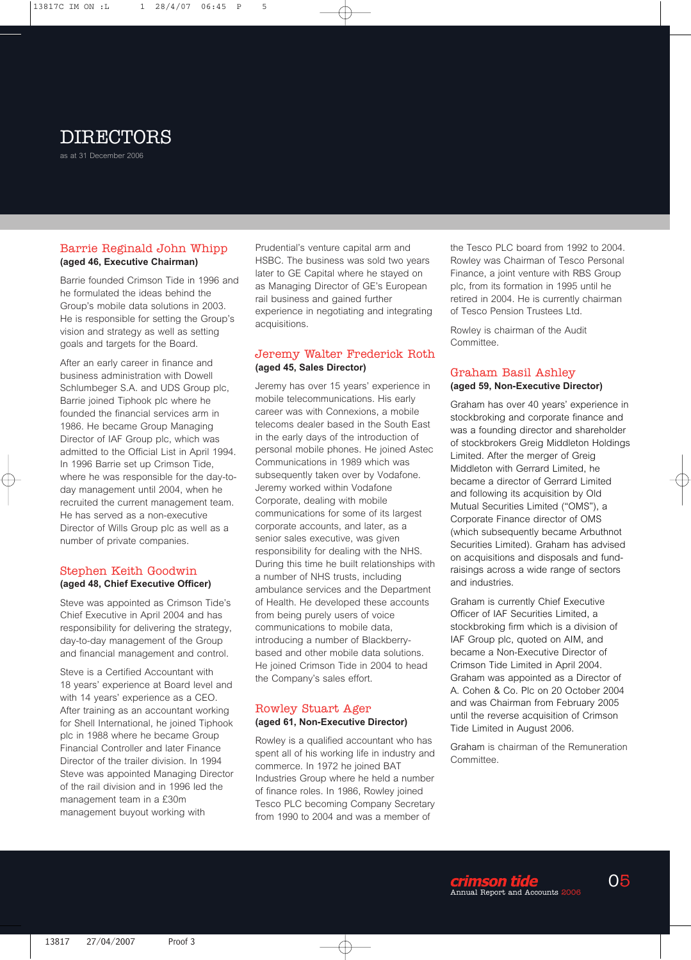## DIRECTORS

as at 31 December 2006

## Barrie Reginald John Whipp *(aged 46, Executive Chairman)*

Barrie founded Crimson Tide in 1996 and he formulated the ideas behind the Group's mobile data solutions in 2003. He is responsible for setting the Group's vision and strategy as well as setting goals and targets for the Board.

After an early career in finance and business administration with Dowell Schlumbeger S.A. and UDS Group plc, Barrie joined Tiphook plc where he founded the financial services arm in 1986. He became Group Managing Director of IAF Group plc, which was admitted to the Official List in April 1994. In 1996 Barrie set up Crimson Tide, where he was responsible for the day-today management until 2004, when he recruited the current management team. He has served as a non-executive Director of Wills Group plc as well as a number of private companies.

#### Stephen Keith Goodwin *(aged 48, Chief Executive Officer)*

Steve was appointed as Crimson Tide's Chief Executive in April 2004 and has responsibility for delivering the strategy, day-to-day management of the Group and financial management and control.

Steve is a Certified Accountant with 18 years' experience at Board level and with 14 years' experience as a CEO. After training as an accountant working for Shell International, he joined Tiphook plc in 1988 where he became Group Financial Controller and later Finance Director of the trailer division. In 1994 Steve was appointed Managing Director of the rail division and in 1996 led the management team in a £30m management buyout working with

Prudential's venture capital arm and HSBC. The business was sold two years later to GE Capital where he stayed on as Managing Director of GE's European rail business and gained further experience in negotiating and integrating acquisitions.

## Jeremy Walter Frederick Roth *(aged 45, Sales Director)*

Jeremy has over 15 years' experience in mobile telecommunications. His early career was with Connexions, a mobile telecoms dealer based in the South East in the early days of the introduction of personal mobile phones. He joined Astec Communications in 1989 which was subsequently taken over by Vodafone. Jeremy worked within Vodafone Corporate, dealing with mobile communications for some of its largest corporate accounts, and later, as a senior sales executive, was given responsibility for dealing with the NHS. During this time he built relationships with a number of NHS trusts, including ambulance services and the Department of Health. He developed these accounts from being purely users of voice communications to mobile data, introducing a number of Blackberrybased and other mobile data solutions. He joined Crimson Tide in 2004 to head the Company's sales effort.

## Rowley Stuart Ager *(aged 61, Non-Executive Director)*

Rowley is a qualified accountant who has spent all of his working life in industry and commerce. In 1972 he joined BAT Industries Group where he held a number of finance roles. In 1986, Rowley joined Tesco PLC becoming Company Secretary from 1990 to 2004 and was a member of

the Tesco PLC board from 1992 to 2004. Rowley was Chairman of Tesco Personal Finance, a joint venture with RBS Group plc, from its formation in 1995 until he retired in 2004. He is currently chairman of Tesco Pension Trustees Ltd.

Rowley is chairman of the Audit Committee.

#### Graham Basil Ashley *(aged 59, Non-Executive Director)*

Graham has over 40 years' experience in stockbroking and corporate finance and was a founding director and shareholder of stockbrokers Greig Middleton Holdings Limited. After the merger of Greig Middleton with Gerrard Limited, he became a director of Gerrard Limited and following its acquisition by Old Mutual Securities Limited ("OMS"), a Corporate Finance director of OMS (which subsequently became Arbuthnot Securities Limited). Graham has advised on acquisitions and disposals and fundraisings across a wide range of sectors and industries.

Graham is currently Chief Executive Officer of IAF Securities Limited, a stockbroking firm which is a division of IAF Group plc, quoted on AIM, and became a Non-Executive Director of Crimson Tide Limited in April 2004. Graham was appointed as a Director of A. Cohen & Co. Plc on 20 October 2004 and was Chairman from February 2005 until the reverse acquisition of Crimson Tide Limited in August 2006.

Graham is chairman of the Remuneration Committee.

05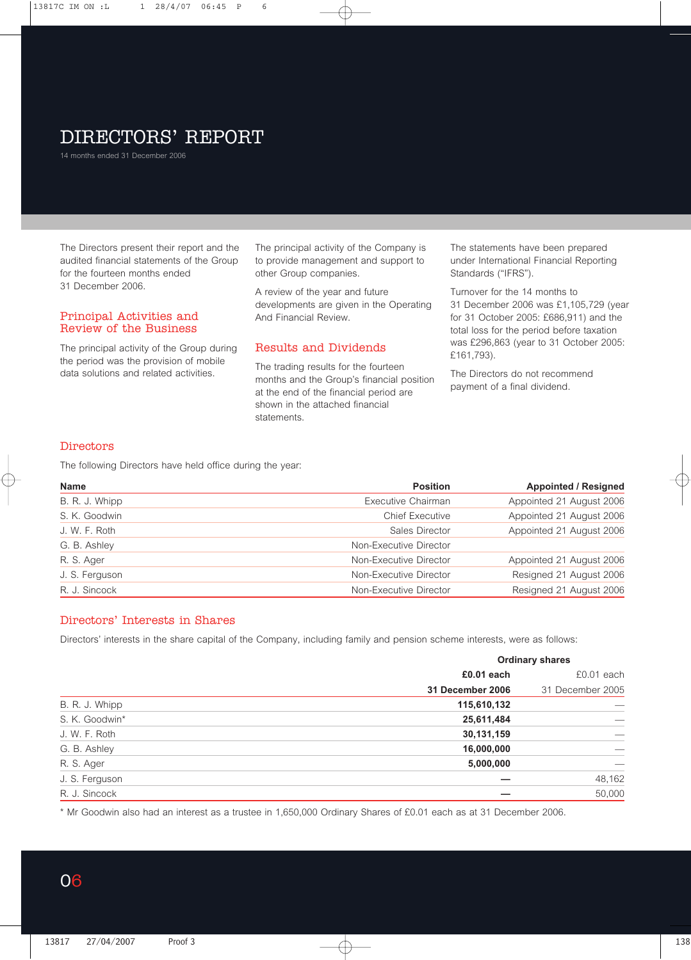## DIRECTORS' REPORT

14 months ended 31 December 2006

The Directors present their report and the audited financial statements of the Group for the fourteen months ended 31 December 2006.

### Principal Activities and Review of the Business

The principal activity of the Group during the period was the provision of mobile data solutions and related activities.

The principal activity of the Company is to provide management and support to other Group companies.

A review of the year and future developments are given in the Operating And Financial Review.

## Results and Dividends

The trading results for the fourteen months and the Group's financial position at the end of the financial period are shown in the attached financial statements.

The statements have been prepared under International Financial Reporting Standards ("IFRS").

Turnover for the 14 months to 31 December 2006 was £1,105,729 (year for 31 October 2005: £686,911) and the total loss for the period before taxation was £296,863 (year to 31 October 2005: £161,793).

The Directors do not recommend payment of a final dividend.

### **Directors**

The following Directors have held office during the year:

| Name           | <b>Position</b>        | <b>Appointed / Resigned</b> |
|----------------|------------------------|-----------------------------|
| B. R. J. Whipp | Executive Chairman     | Appointed 21 August 2006    |
| S. K. Goodwin  | <b>Chief Executive</b> | Appointed 21 August 2006    |
| J. W. F. Roth  | Sales Director         | Appointed 21 August 2006    |
| G. B. Ashley   | Non-Executive Director |                             |
| R. S. Ager     | Non-Executive Director | Appointed 21 August 2006    |
| J. S. Ferguson | Non-Executive Director | Resigned 21 August 2006     |
| R. J. Sincock  | Non-Executive Director | Resigned 21 August 2006     |

## Directors' Interests in Shares

Directors' interests in the share capital of the Company, including family and pension scheme interests, were as follows:

|                | <b>Ordinary shares</b> |                  |  |
|----------------|------------------------|------------------|--|
|                | £0.01 each             | £0.01 each       |  |
|                | 31 December 2006       | 31 December 2005 |  |
| B. R. J. Whipp | 115,610,132            |                  |  |
| S. K. Goodwin* | 25,611,484             |                  |  |
| J. W. F. Roth  | 30,131,159             |                  |  |
| G. B. Ashley   | 16,000,000             |                  |  |
| R. S. Ager     | 5,000,000              |                  |  |
| J. S. Ferguson |                        | 48,162           |  |
| R. J. Sincock  |                        | 50,000           |  |

\* Mr Goodwin also had an interest as a trustee in 1,650,000 Ordinary Shares of £0.01 each as at 31 December 2006.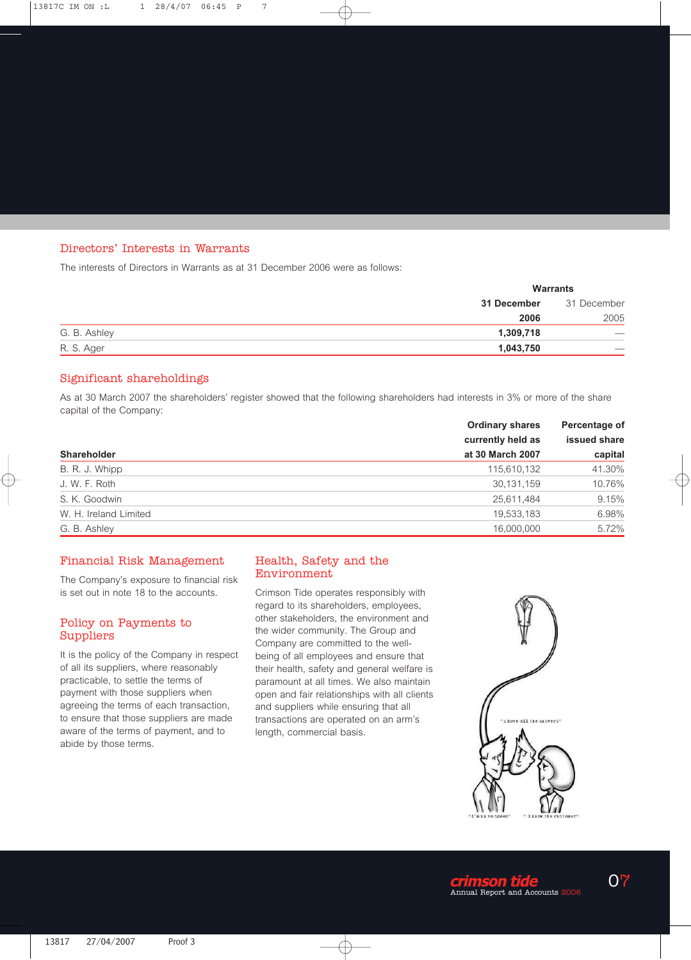## Directors' Interests in Warrants

The interests of Directors in Warrants as at 31 December 2006 were as follows:

|              |             | <b>Warrants</b>             |  |  |
|--------------|-------------|-----------------------------|--|--|
|              | 31 December | 31 December                 |  |  |
|              | 2006        | 2005                        |  |  |
| G. B. Ashley | 1,309,718   | $\overbrace{\hspace{15em}}$ |  |  |
| R. S. Ager   | 1,043,750   | $\overline{\phantom{a}}$    |  |  |

### Significant shareholdings

As at 30 March 2007 the shareholders' register showed that the following shareholders had interests in 3% or more of the share capital of the Company:

|                       | <b>Ordinary shares</b> | Percentage of |  |
|-----------------------|------------------------|---------------|--|
|                       | currently held as      | issued share  |  |
| <b>Shareholder</b>    | at 30 March 2007       | capital       |  |
| B. R. J. Whipp        | 115,610,132            | 41.30%        |  |
| J. W. F. Roth         | 30,131,159             | 10.76%        |  |
| S. K. Goodwin         | 25,611,484             | 9.15%         |  |
| W. H. Ireland Limited | 19,533,183             | 6.98%         |  |
| G. B. Ashley          | 16,000,000             | 5.72%         |  |

### Financial Risk Management

The Company's exposure to financial risk is set out in note 18 to the accounts.

## Policy on Payments to **Suppliers**

It is the policy of the Company in respect of all its suppliers, where reasonably practicable, to settle the terms of payment with those suppliers when agreeing the terms of each transaction, to ensure that those suppliers are made aware of the terms of payment, and to abide by those terms.

### Health, Safety and the Environment

Crimson Tide operates responsibly with regard to its shareholders, employees, other stakeholders, the environment and the wider community. The Group and Company are committed to the wellbeing of all employees and ensure that their health, safety and general welfare is paramount at all times. We also maintain open and fair relationships with all clients and suppliers while ensuring that all transactions are operated on an arm's length, commercial basis.

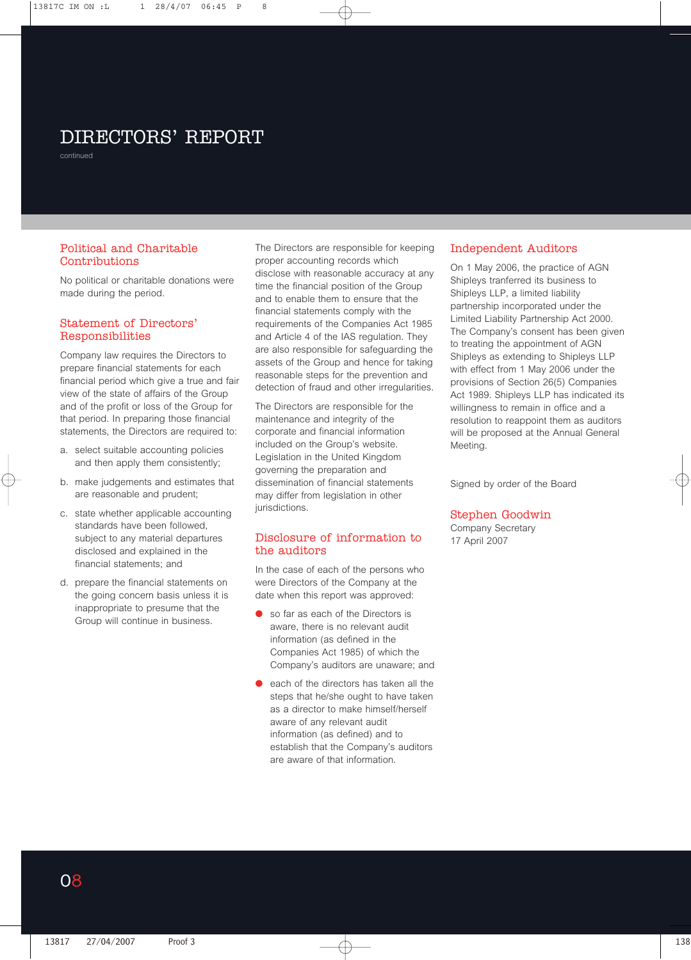## DIRECTORS' REPORT

continued

### Political and Charitable Contributions

No political or charitable donations were made during the period.

## Statement of Directors' Responsibilities

Company law requires the Directors to prepare financial statements for each financial period which give a true and fair view of the state of affairs of the Group and of the profit or loss of the Group for that period. In preparing those financial statements, the Directors are required to:

- a. select suitable accounting policies and then apply them consistently;
- b. make judgements and estimates that are reasonable and prudent;
- c. state whether applicable accounting standards have been followed, subject to any material departures disclosed and explained in the financial statements; and
- d. prepare the financial statements on the going concern basis unless it is inappropriate to presume that the Group will continue in business.

The Directors are responsible for keeping proper accounting records which disclose with reasonable accuracy at any time the financial position of the Group and to enable them to ensure that the financial statements comply with the requirements of the Companies Act 1985 and Article 4 of the IAS regulation. They are also responsible for safeguarding the assets of the Group and hence for taking reasonable steps for the prevention and detection of fraud and other irregularities.

The Directors are responsible for the maintenance and integrity of the corporate and financial information included on the Group's website. Legislation in the United Kingdom governing the preparation and dissemination of financial statements may differ from legislation in other jurisdictions.

## Disclosure of information to the auditors

In the case of each of the persons who were Directors of the Company at the date when this report was approved:

- **●** so far as each of the Directors is aware, there is no relevant audit information (as defined in the Companies Act 1985) of which the Company's auditors are unaware; and
- each of the directors has taken all the steps that he/she ought to have taken as a director to make himself/herself aware of any relevant audit information (as defined) and to establish that the Company's auditors are aware of that information.

#### Independent Auditors

On 1 May 2006, the practice of AGN Shipleys tranferred its business to Shipleys LLP, a limited liability partnership incorporated under the Limited Liability Partnership Act 2000. The Company's consent has been given to treating the appointment of AGN Shipleys as extending to Shipleys LLP with effect from 1 May 2006 under the provisions of Section 26(5) Companies Act 1989. Shipleys LLP has indicated its willingness to remain in office and a resolution to reappoint them as auditors will be proposed at the Annual General Meeting.

Signed by order of the Board

#### Stephen Goodwin

Company Secretary 17 April 2007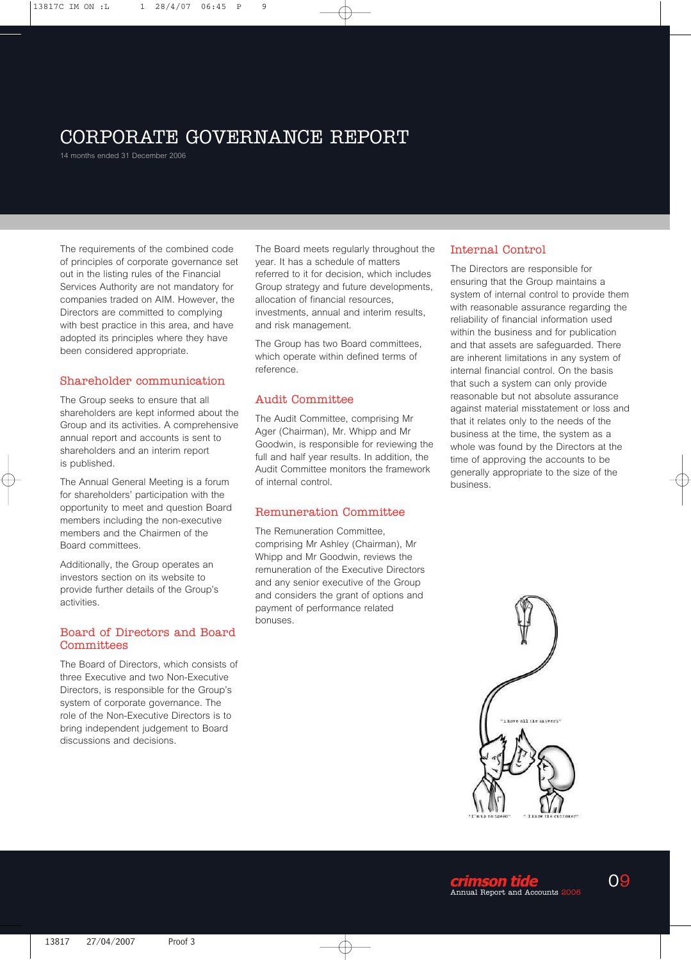## CORPORATE GOVERNANCE REPORT

14 months ended 31 December 2006

The requirements of the combined code of principles of corporate governance set out in the listing rules of the Financial Services Authority are not mandatory for companies traded on AIM. However, the Directors are committed to complying with best practice in this area, and have adopted its principles where they have been considered appropriate.

#### Shareholder communication

The Group seeks to ensure that all shareholders are kept informed about the Group and its activities. A comprehensive annual report and accounts is sent to shareholders and an interim report is published.

The Annual General Meeting is a forum for shareholders' participation with the opportunity to meet and question Board members including the non-executive members and the Chairmen of the Board committees.

Additionally, the Group operates an investors section on its website to provide further details of the Group's activities.

## Board of Directors and Board **Committees**

The Board of Directors, which consists of three Executive and two Non-Executive Directors, is responsible for the Group's system of corporate governance. The role of the Non-Executive Directors is to bring independent judgement to Board discussions and decisions.

The Board meets regularly throughout the year. It has a schedule of matters referred to it for decision, which includes Group strategy and future developments, allocation of financial resources, investments, annual and interim results, and risk management.

The Group has two Board committees, which operate within defined terms of reference.

## Audit Committee

The Audit Committee, comprising Mr Ager (Chairman), Mr. Whipp and Mr Goodwin, is responsible for reviewing the full and half year results. In addition, the Audit Committee monitors the framework of internal control.

## Remuneration Committee

The Remuneration Committee, comprising Mr Ashley (Chairman), Mr Whipp and Mr Goodwin, reviews the remuneration of the Executive Directors and any senior executive of the Group and considers the grant of options and payment of performance related bonuses.

## Internal Control

The Directors are responsible for ensuring that the Group maintains a system of internal control to provide them with reasonable assurance regarding the reliability of financial information used within the business and for publication and that assets are safeguarded. There are inherent limitations in any system of internal financial control. On the basis that such a system can only provide reasonable but not absolute assurance against material misstatement or loss and that it relates only to the needs of the business at the time, the system as a whole was found by the Directors at the time of approving the accounts to be generally appropriate to the size of the business.



09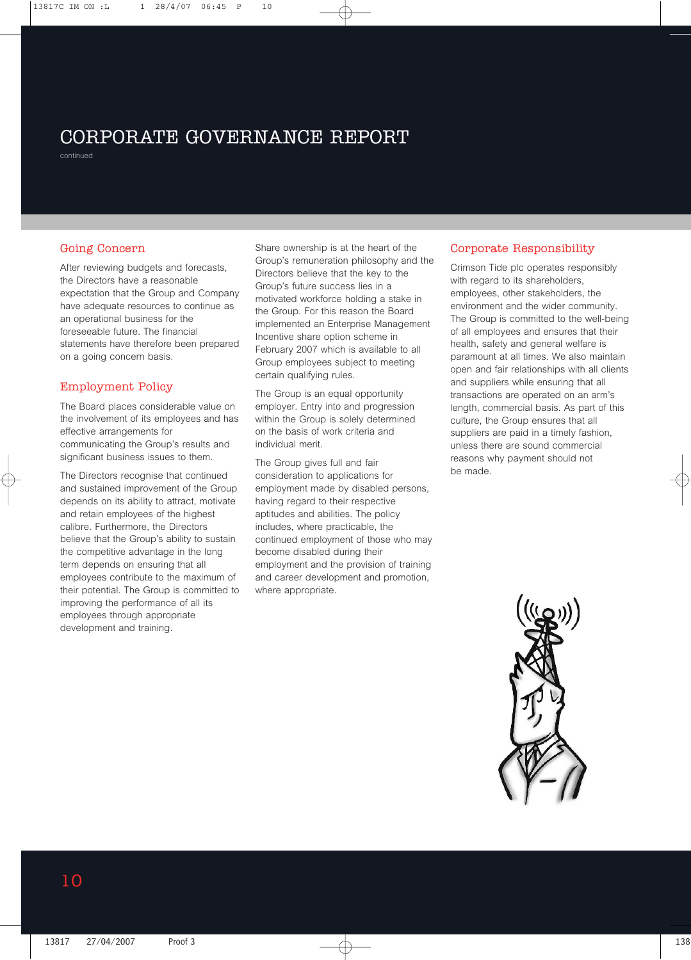## CORPORATE GOVERNANCE REPORT

continued

## Going Concern

After reviewing budgets and forecasts, the Directors have a reasonable expectation that the Group and Company have adequate resources to continue as an operational business for the foreseeable future. The financial statements have therefore been prepared on a going concern basis.

## Employment Policy

The Board places considerable value on the involvement of its employees and has effective arrangements for communicating the Group's results and significant business issues to them.

The Directors recognise that continued and sustained improvement of the Group depends on its ability to attract, motivate and retain employees of the highest calibre. Furthermore, the Directors believe that the Group's ability to sustain the competitive advantage in the long term depends on ensuring that all employees contribute to the maximum of their potential. The Group is committed to improving the performance of all its employees through appropriate development and training.

Share ownership is at the heart of the Group's remuneration philosophy and the Directors believe that the key to the Group's future success lies in a motivated workforce holding a stake in the Group. For this reason the Board implemented an Enterprise Management Incentive share option scheme in February 2007 which is available to all Group employees subject to meeting certain qualifying rules.

The Group is an equal opportunity employer. Entry into and progression within the Group is solely determined on the basis of work criteria and individual merit.

The Group gives full and fair consideration to applications for employment made by disabled persons, having regard to their respective aptitudes and abilities. The policy includes, where practicable, the continued employment of those who may become disabled during their employment and the provision of training and career development and promotion, where appropriate.

## Corporate Responsibility

Crimson Tide plc operates responsibly with regard to its shareholders. employees, other stakeholders, the environment and the wider community. The Group is committed to the well-being of all employees and ensures that their health, safety and general welfare is paramount at all times. We also maintain open and fair relationships with all clients and suppliers while ensuring that all transactions are operated on an arm's length, commercial basis. As part of this culture, the Group ensures that all suppliers are paid in a timely fashion, unless there are sound commercial reasons why payment should not be made.

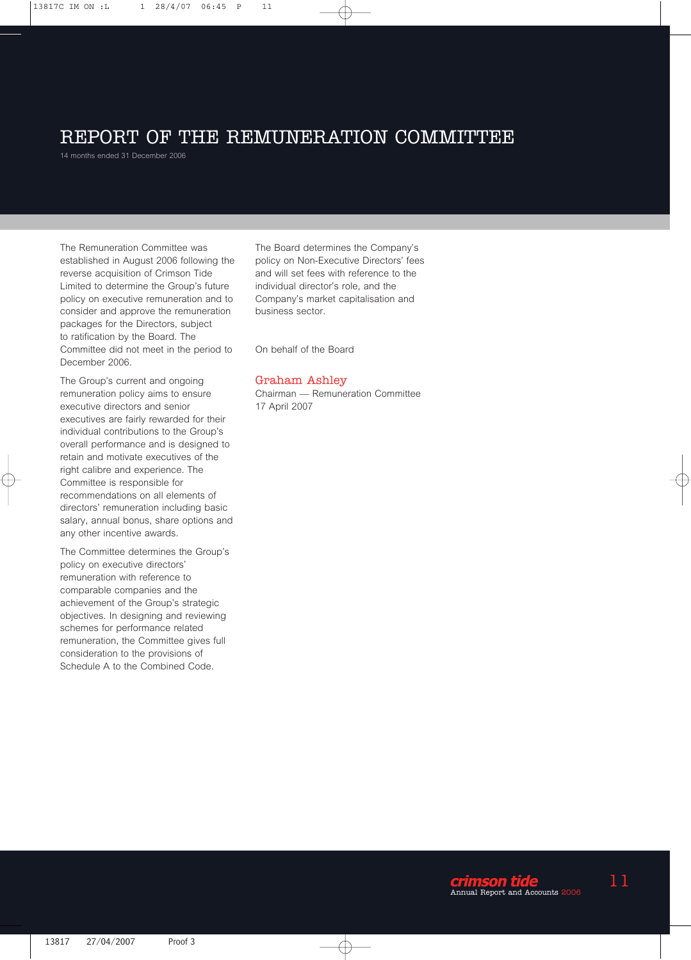## REPORT OF THE REMUNERATION COMMITTEE

14 months ended 31 December 2006

The Remuneration Committee was established in August 2006 following the reverse acquisition of Crimson Tide Limited to determine the Group's future policy on executive remuneration and to consider and approve the remuneration packages for the Directors, subject to ratification by the Board. The Committee did not meet in the period to December 2006.

The Group's current and ongoing remuneration policy aims to ensure executive directors and senior executives are fairly rewarded for their individual contributions to the Group's overall performance and is designed to retain and motivate executives of the right calibre and experience. The Committee is responsible for recommendations on all elements of directors' remuneration including basic salary, annual bonus, share options and any other incentive awards.

The Committee determines the Group's policy on executive directors' remuneration with reference to comparable companies and the achievement of the Group's strategic objectives. In designing and reviewing schemes for performance related remuneration, the Committee gives full consideration to the provisions of Schedule A to the Combined Code.

The Board determines the Company's policy on Non-Executive Directors' fees and will set fees with reference to the individual director's role, and the Company's market capitalisation and business sector.

On behalf of the Board

#### Graham Ashley

Chairman — Remuneration Committee 17 April 2007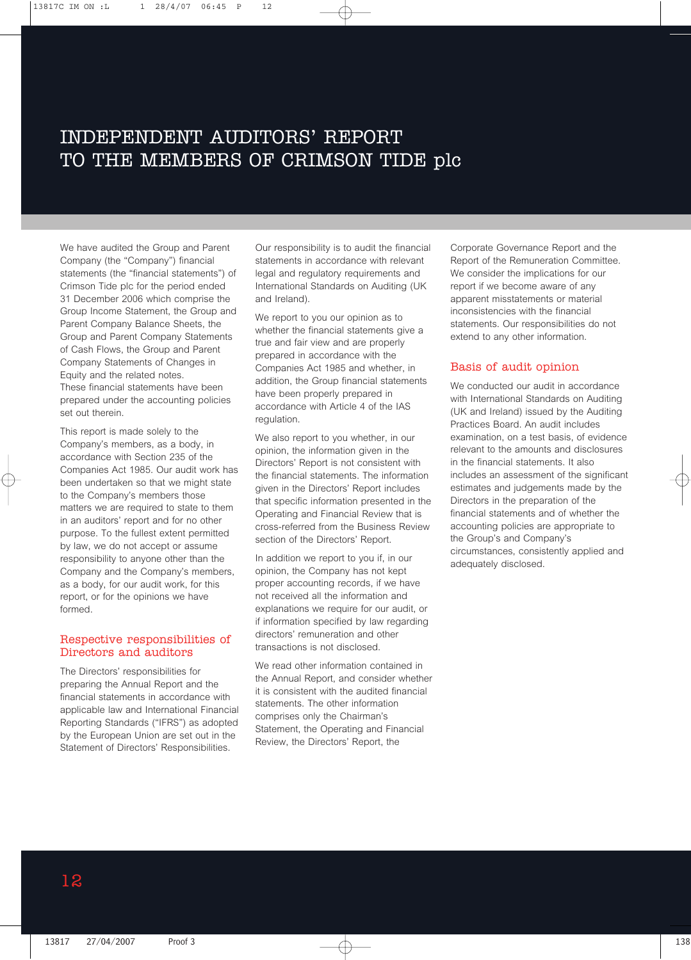## INDEPENDENT AUDITORS' REPORT TO THE MEMBERS OF CRIMSON TIDE plc

We have audited the Group and Parent Company (the "Company") financial statements (the "financial statements") of Crimson Tide plc for the period ended 31 December 2006 which comprise the Group Income Statement, the Group and Parent Company Balance Sheets, the Group and Parent Company Statements of Cash Flows, the Group and Parent Company Statements of Changes in Equity and the related notes. These financial statements have been prepared under the accounting policies set out therein.

This report is made solely to the Company's members, as a body, in accordance with Section 235 of the Companies Act 1985. Our audit work has been undertaken so that we might state to the Company's members those matters we are required to state to them in an auditors' report and for no other purpose. To the fullest extent permitted by law, we do not accept or assume responsibility to anyone other than the Company and the Company's members, as a body, for our audit work, for this report, or for the opinions we have formed.

#### Respective responsibilities of Directors and auditors

The Directors' responsibilities for preparing the Annual Report and the financial statements in accordance with applicable law and International Financial Reporting Standards ("IFRS") as adopted by the European Union are set out in the Statement of Directors' Responsibilities.

Our responsibility is to audit the financial statements in accordance with relevant legal and regulatory requirements and International Standards on Auditing (UK and Ireland).

We report to you our opinion as to whether the financial statements give a true and fair view and are properly prepared in accordance with the Companies Act 1985 and whether, in addition, the Group financial statements have been properly prepared in accordance with Article 4 of the IAS regulation.

We also report to you whether, in our opinion, the information given in the Directors' Report is not consistent with the financial statements. The information given in the Directors' Report includes that specific information presented in the Operating and Financial Review that is cross-referred from the Business Review section of the Directors' Report.

In addition we report to you if, in our opinion, the Company has not kept proper accounting records, if we have not received all the information and explanations we require for our audit, or if information specified by law regarding directors' remuneration and other transactions is not disclosed.

We read other information contained in the Annual Report, and consider whether it is consistent with the audited financial statements. The other information comprises only the Chairman's Statement, the Operating and Financial Review, the Directors' Report, the

Corporate Governance Report and the Report of the Remuneration Committee. We consider the implications for our report if we become aware of any apparent misstatements or material inconsistencies with the financial statements. Our responsibilities do not extend to any other information.

## Basis of audit opinion

We conducted our audit in accordance with International Standards on Auditing (UK and Ireland) issued by the Auditing Practices Board. An audit includes examination, on a test basis, of evidence relevant to the amounts and disclosures in the financial statements. It also includes an assessment of the significant estimates and judgements made by the Directors in the preparation of the financial statements and of whether the accounting policies are appropriate to the Group's and Company's circumstances, consistently applied and adequately disclosed.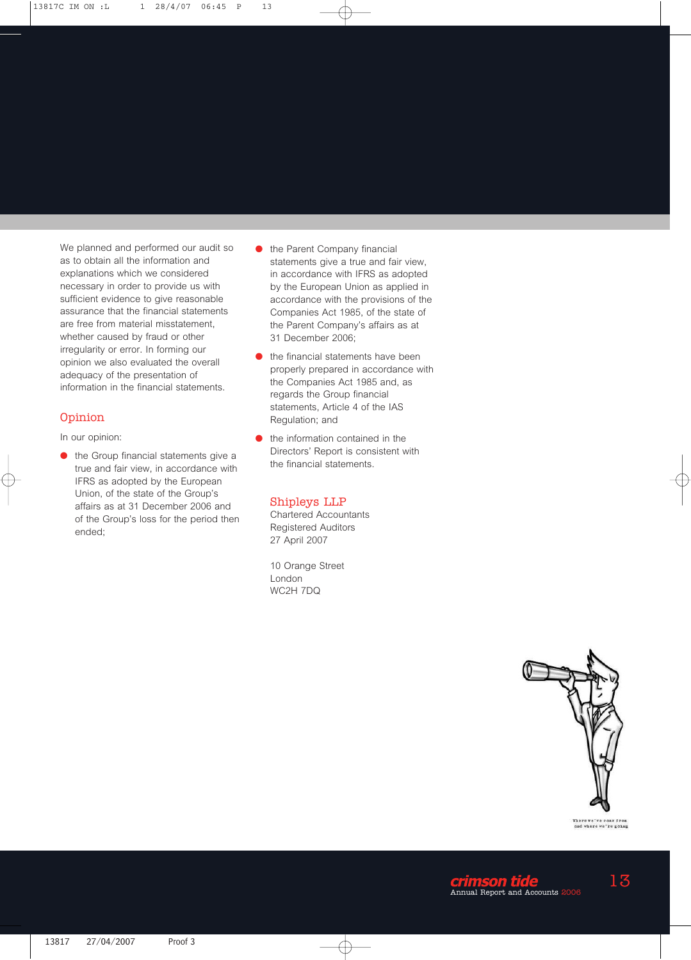We planned and performed our audit so as to obtain all the information and explanations which we considered necessary in order to provide us with sufficient evidence to give reasonable assurance that the financial statements are free from material misstatement whether caused by fraud or other irregularity or error. In forming our opinion we also evaluated the overall adequacy of the presentation of information in the financial statements.

## Opinion

In our opinion:

**●** the Group financial statements give a true and fair view, in accordance with IFRS as adopted by the European Union, of the state of the Group's affairs as at 31 December 2006 and of the Group's loss for the period then ended;

- the Parent Company financial statements give a true and fair view. in accordance with IFRS as adopted by the European Union as applied in accordance with the provisions of the Companies Act 1985, of the state of the Parent Company's affairs as at 31 December 2006;
- the financial statements have been properly prepared in accordance with the Companies Act 1985 and, as regards the Group financial statements, Article 4 of the IAS Regulation; and
- **●** the information contained in the Directors' Report is consistent with the financial statements.

### Shipleys LLP

Chartered Accountants Registered Auditors 27 April 2007

10 Orange Street London WC2H 7DQ



Where we've come from<br>and where we're going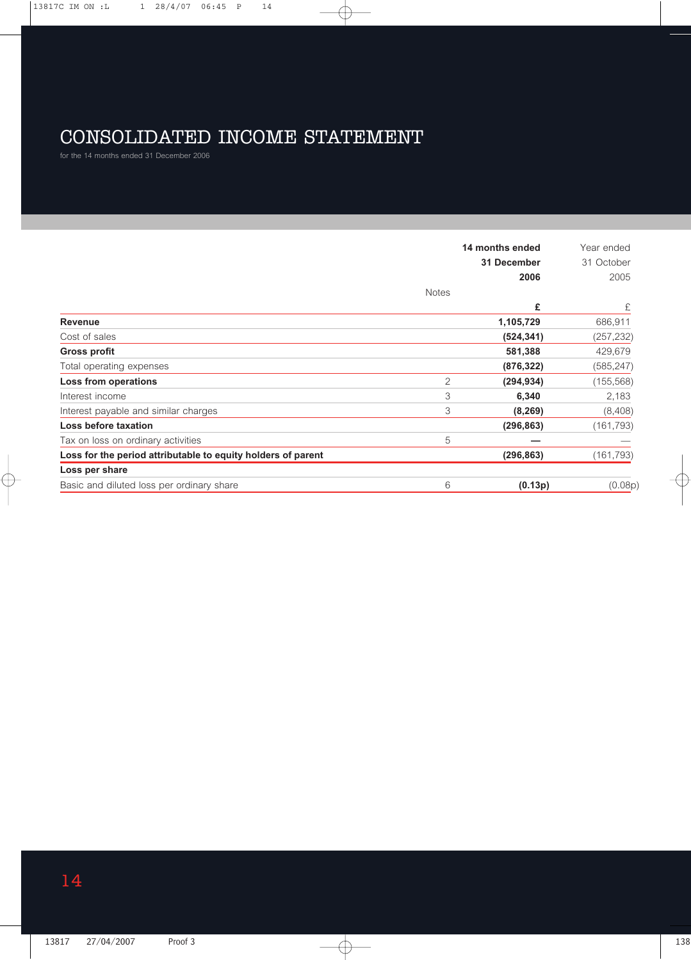## CONSOLIDATED INCOME STATEMENT

for the 14 months ended 31 December 2006

|                                                              |              | 14 months ended<br>31 December<br>2006 | Year ended<br>31 October<br>2005 |
|--------------------------------------------------------------|--------------|----------------------------------------|----------------------------------|
|                                                              | <b>Notes</b> |                                        |                                  |
|                                                              |              | £                                      | £                                |
| <b>Revenue</b>                                               |              | 1,105,729                              | 686,911                          |
| Cost of sales                                                |              | (524, 341)                             | (257, 232)                       |
| <b>Gross profit</b>                                          |              | 581,388                                | 429,679                          |
| Total operating expenses                                     |              | (876, 322)                             | (585, 247)                       |
| Loss from operations                                         | 2            | (294, 934)                             | (155, 568)                       |
| Interest income                                              | 3            | 6,340                                  | 2,183                            |
| Interest payable and similar charges                         | 3            | (8, 269)                               | (8,408)                          |
| <b>Loss before taxation</b>                                  |              | (296, 863)                             | (161, 793)                       |
| Tax on loss on ordinary activities                           | 5            |                                        |                                  |
| Loss for the period attributable to equity holders of parent |              | (296, 863)                             | (161, 793)                       |
| Loss per share                                               |              |                                        |                                  |
| Basic and diluted loss per ordinary share                    | 6            | (0.13p)                                | (0.08p)                          |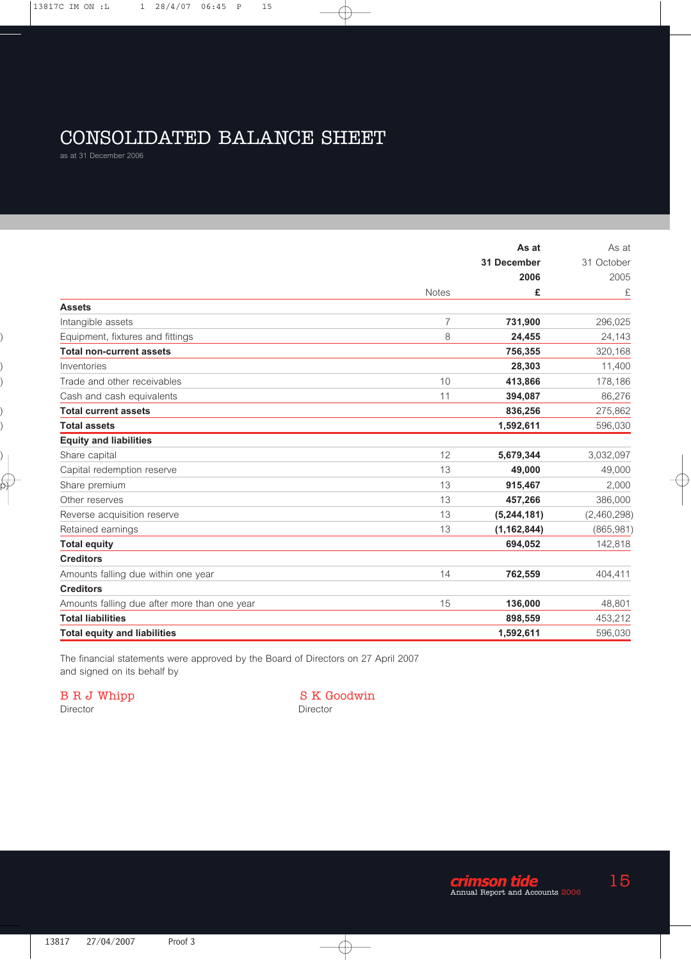## CONSOLIDATED BALANCE SHEET

as at 31 December 2006

|                                              |                | As at              | As at       |
|----------------------------------------------|----------------|--------------------|-------------|
|                                              |                | <b>31 December</b> | 31 October  |
|                                              |                | 2006               | 2005        |
|                                              | <b>Notes</b>   | £                  | £           |
| <b>Assets</b>                                |                |                    |             |
| Intangible assets                            | $\overline{7}$ | 731,900            | 296,025     |
| Equipment, fixtures and fittings             | 8              | 24,455             | 24,143      |
| <b>Total non-current assets</b>              |                | 756,355            | 320,168     |
| Inventories                                  |                | 28,303             | 11,400      |
| Trade and other receivables                  | 10             | 413,866            | 178,186     |
| Cash and cash equivalents                    | 11             | 394,087            | 86,276      |
| <b>Total current assets</b>                  |                | 836,256            | 275,862     |
| <b>Total assets</b>                          |                | 1,592,611          | 596,030     |
| <b>Equity and liabilities</b>                |                |                    |             |
| Share capital                                | 12             | 5,679,344          | 3,032,097   |
| Capital redemption reserve                   | 13             | 49,000             | 49,000      |
| Share premium                                | 13             | 915,467            | 2,000       |
| Other reserves                               | 13             | 457,266            | 386,000     |
| Reverse acquisition reserve                  | 13             | (5, 244, 181)      | (2,460,298) |
| Retained earnings                            | 13             | (1, 162, 844)      | (865, 981)  |
| <b>Total equity</b>                          |                | 694,052            | 142,818     |
| <b>Creditors</b>                             |                |                    |             |
| Amounts falling due within one year          | 14             | 762,559            | 404,411     |
| <b>Creditors</b>                             |                |                    |             |
| Amounts falling due after more than one year | 15             | 136,000            | 48,801      |
| <b>Total liabilities</b>                     |                | 898,559            | 453,212     |
| <b>Total equity and liabilities</b>          |                | 1,592,611          | 596,030     |

The financial statements were approved by the Board of Directors on 27 April 2007 and signed on its behalf by

B R J Whipp S K Goodwin

Director **Director** Director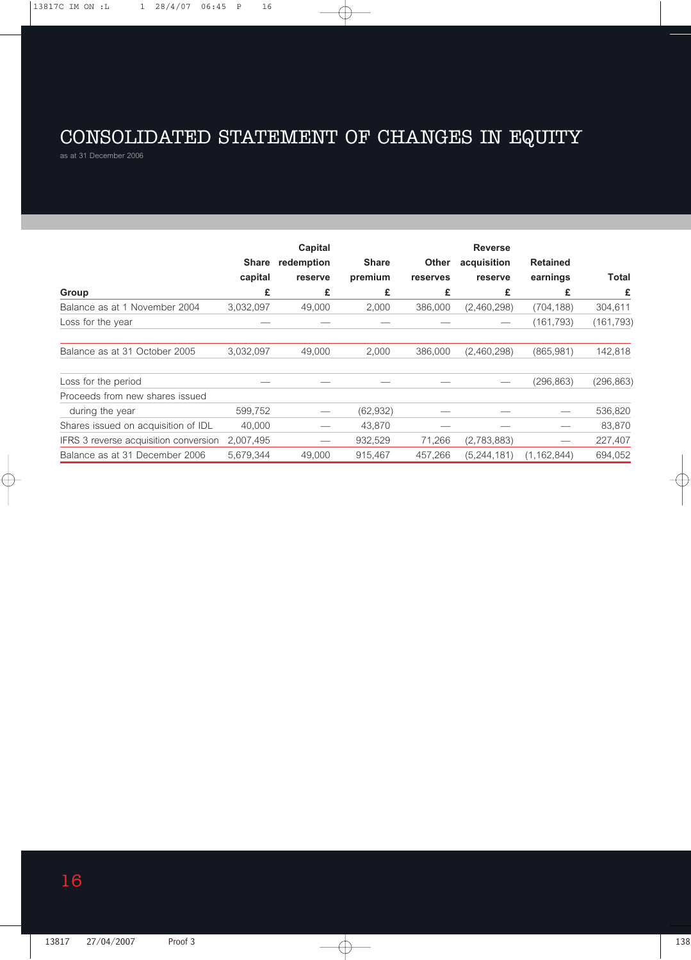## CONSOLIDATED STATEMENT OF CHANGES IN EQUITY

as at 31 December 2006

|                                       |              | Capital    |              |              | <b>Reverse</b> |                 |            |
|---------------------------------------|--------------|------------|--------------|--------------|----------------|-----------------|------------|
|                                       | <b>Share</b> | redemption | <b>Share</b> | <b>Other</b> | acquisition    | <b>Retained</b> |            |
|                                       | capital      | reserve    | premium      | reserves     | reserve        | earnings        | Total      |
| Group                                 | £            | £          | £            | £            | £              | £               | £          |
| Balance as at 1 November 2004         | 3,032,097    | 49,000     | 2,000        | 386,000      | (2,460,298)    | (704, 188)      | 304,611    |
| Loss for the year                     |              |            |              |              |                | (161, 793)      | (161, 793) |
| Balance as at 31 October 2005         | 3,032,097    | 49,000     | 2,000        | 386,000      | (2,460,298)    | (865, 981)      | 142,818    |
| Loss for the period                   |              |            |              |              |                | (296, 863)      | (296, 863) |
| Proceeds from new shares issued       |              |            |              |              |                |                 |            |
| during the year                       | 599,752      |            | (62, 932)    |              |                |                 | 536,820    |
| Shares issued on acquisition of IDL   | 40,000       |            | 43,870       |              |                |                 | 83,870     |
| IFRS 3 reverse acquisition conversion | 2,007,495    |            | 932,529      | 71,266       | (2,783,883)    |                 | 227,407    |
| Balance as at 31 December 2006        | 5.679.344    | 49,000     | 915.467      | 457.266      | (5,244,181)    | (1, 162, 844)   | 694,052    |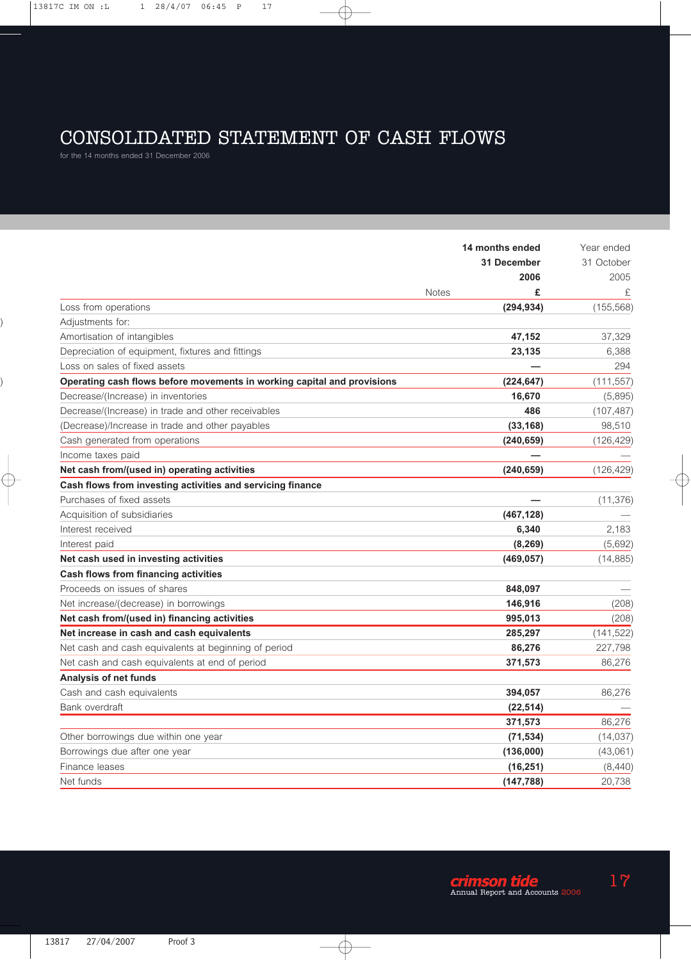## CONSOLIDATED STATEMENT OF CASH FLOWS

for the 14 months ended 31 December 2006

|                                                                         |              | 14 months ended |            |
|-------------------------------------------------------------------------|--------------|-----------------|------------|
|                                                                         |              | 31 December     | 31 October |
|                                                                         |              | 2006            | 2005       |
|                                                                         | <b>Notes</b> | £               | £          |
| Loss from operations                                                    |              | (294, 934)      | (155, 568) |
| Adjustments for:                                                        |              |                 |            |
| Amortisation of intangibles                                             |              | 47,152          | 37,329     |
| Depreciation of equipment, fixtures and fittings                        |              | 23,135          | 6,388      |
| Loss on sales of fixed assets                                           |              |                 | 294        |
| Operating cash flows before movements in working capital and provisions |              | (224, 647)      | (111, 557) |
| Decrease/(Increase) in inventories                                      |              | 16,670          | (5,895)    |
| Decrease/(Increase) in trade and other receivables                      |              | 486             | (107, 487) |
| (Decrease)/Increase in trade and other payables                         |              | (33, 168)       | 98,510     |
| Cash generated from operations                                          |              | (240, 659)      | (126, 429) |
| Income taxes paid                                                       |              |                 |            |
| Net cash from/(used in) operating activities                            |              | (240, 659)      | (126, 429) |
| Cash flows from investing activities and servicing finance              |              |                 |            |
| Purchases of fixed assets                                               |              |                 | (11, 376)  |
| Acquisition of subsidiaries                                             |              | (467, 128)      |            |
| Interest received                                                       |              | 6,340           | 2,183      |
| Interest paid                                                           |              | (8, 269)        | (5,692)    |
| Net cash used in investing activities                                   |              | (469, 057)      | (14, 885)  |
| <b>Cash flows from financing activities</b>                             |              |                 |            |
| Proceeds on issues of shares                                            |              | 848,097         |            |
| Net increase/(decrease) in borrowings                                   |              | 146,916         | (208)      |
| Net cash from/(used in) financing activities                            |              | 995,013         | (208)      |
| Net increase in cash and cash equivalents                               |              | 285,297         | (141, 522) |
| Net cash and cash equivalents at beginning of period                    |              | 86,276          | 227,798    |
| Net cash and cash equivalents at end of period                          |              | 371,573         | 86,276     |
| Analysis of net funds                                                   |              |                 |            |
| Cash and cash equivalents                                               |              | 394,057         | 86,276     |
| <b>Bank overdraft</b>                                                   |              | (22, 514)       |            |
|                                                                         |              | 371,573         | 86,276     |
| Other borrowings due within one year                                    |              | (71, 534)       | (14, 037)  |
| Borrowings due after one year                                           |              | (136,000)       | (43,061)   |
| Finance leases                                                          |              | (16, 251)       | (8,440)    |
| Net funds                                                               |              | (147, 788)      | 20,738     |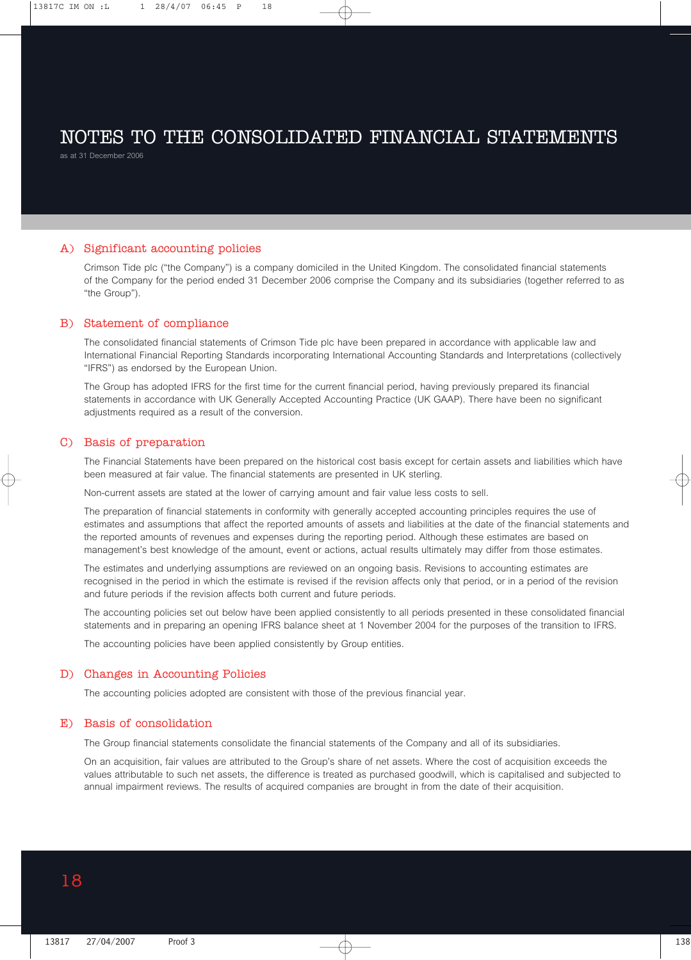as at 31 December 2006

### A) Significant accounting policies

Crimson Tide plc ("the Company") is a company domiciled in the United Kingdom. The consolidated financial statements of the Company for the period ended 31 December 2006 comprise the Company and its subsidiaries (together referred to as "the Group").

#### B) Statement of compliance

The consolidated financial statements of Crimson Tide plc have been prepared in accordance with applicable law and International Financial Reporting Standards incorporating International Accounting Standards and Interpretations (collectively "IFRS") as endorsed by the European Union.

The Group has adopted IFRS for the first time for the current financial period, having previously prepared its financial statements in accordance with UK Generally Accepted Accounting Practice (UK GAAP). There have been no significant adjustments required as a result of the conversion.

#### C) Basis of preparation

The Financial Statements have been prepared on the historical cost basis except for certain assets and liabilities which have been measured at fair value. The financial statements are presented in UK sterling.

Non-current assets are stated at the lower of carrying amount and fair value less costs to sell.

The preparation of financial statements in conformity with generally accepted accounting principles requires the use of estimates and assumptions that affect the reported amounts of assets and liabilities at the date of the financial statements and the reported amounts of revenues and expenses during the reporting period. Although these estimates are based on management's best knowledge of the amount, event or actions, actual results ultimately may differ from those estimates.

The estimates and underlying assumptions are reviewed on an ongoing basis. Revisions to accounting estimates are recognised in the period in which the estimate is revised if the revision affects only that period, or in a period of the revision and future periods if the revision affects both current and future periods.

The accounting policies set out below have been applied consistently to all periods presented in these consolidated financial statements and in preparing an opening IFRS balance sheet at 1 November 2004 for the purposes of the transition to IFRS.

The accounting policies have been applied consistently by Group entities.

#### D) Changes in Accounting Policies

The accounting policies adopted are consistent with those of the previous financial year.

### E) Basis of consolidation

The Group financial statements consolidate the financial statements of the Company and all of its subsidiaries.

On an acquisition, fair values are attributed to the Group's share of net assets. Where the cost of acquisition exceeds the values attributable to such net assets, the difference is treated as purchased goodwill, which is capitalised and subjected to annual impairment reviews. The results of acquired companies are brought in from the date of their acquisition.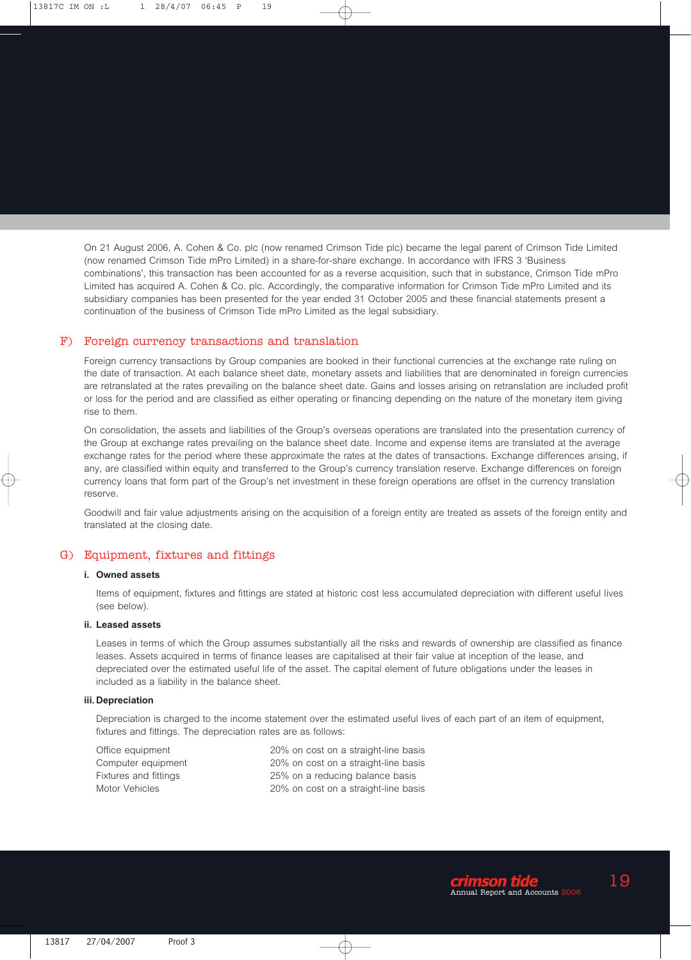On 21 August 2006, A. Cohen & Co. plc (now renamed Crimson Tide plc) became the legal parent of Crimson Tide Limited (now renamed Crimson Tide mPro Limited) in a share-for-share exchange. In accordance with IFRS 3 'Business combinations', this transaction has been accounted for as a reverse acquisition, such that in substance, Crimson Tide mPro Limited has acquired A. Cohen & Co. plc. Accordingly, the comparative information for Crimson Tide mPro Limited and its subsidiary companies has been presented for the year ended 31 October 2005 and these financial statements present a continuation of the business of Crimson Tide mPro Limited as the legal subsidiary.

### F) Foreign currency transactions and translation

Foreign currency transactions by Group companies are booked in their functional currencies at the exchange rate ruling on the date of transaction. At each balance sheet date, monetary assets and liabilities that are denominated in foreign currencies are retranslated at the rates prevailing on the balance sheet date. Gains and losses arising on retranslation are included profit or loss for the period and are classified as either operating or financing depending on the nature of the monetary item giving rise to them.

On consolidation, the assets and liabilities of the Group's overseas operations are translated into the presentation currency of the Group at exchange rates prevailing on the balance sheet date. Income and expense items are translated at the average exchange rates for the period where these approximate the rates at the dates of transactions. Exchange differences arising, if any, are classified within equity and transferred to the Group's currency translation reserve. Exchange differences on foreign currency loans that form part of the Group's net investment in these foreign operations are offset in the currency translation reserve.

Goodwill and fair value adjustments arising on the acquisition of a foreign entity are treated as assets of the foreign entity and translated at the closing date.

#### G) Equipment, fixtures and fittings

#### *i. Owned assets*

Items of equipment, fixtures and fittings are stated at historic cost less accumulated depreciation with different useful lives (see below).

#### *ii. Leased assets*

Leases in terms of which the Group assumes substantially all the risks and rewards of ownership are classified as finance leases. Assets acquired in terms of finance leases are capitalised at their fair value at inception of the lease, and depreciated over the estimated useful life of the asset. The capital element of future obligations under the leases in included as a liability in the balance sheet.

#### *iii. Depreciation*

Depreciation is charged to the income statement over the estimated useful lives of each part of an item of equipment, fixtures and fittings. The depreciation rates are as follows:

Office equipment 20% on cost on a straight-line basis Computer equipment 20% on cost on a straight-line basis Fixtures and fittings 25% on a reducing balance basis Motor Vehicles 20% on cost on a straight-line basis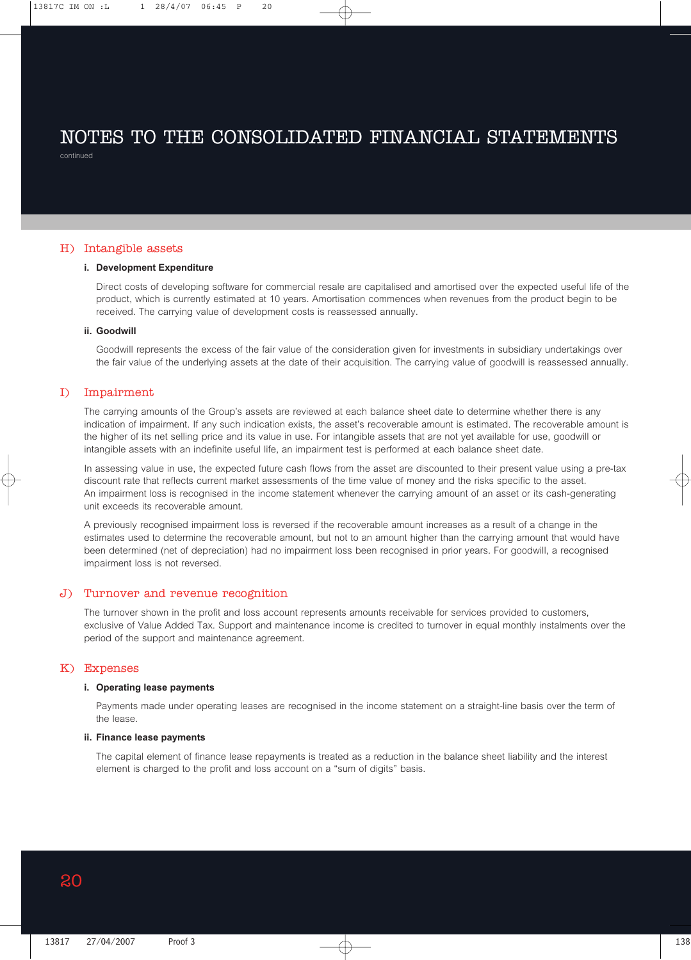continued

#### H) Intangible assets

#### *i. Development Expenditure*

Direct costs of developing software for commercial resale are capitalised and amortised over the expected useful life of the product, which is currently estimated at 10 years. Amortisation commences when revenues from the product begin to be received. The carrying value of development costs is reassessed annually.

#### *ii. Goodwill*

Goodwill represents the excess of the fair value of the consideration given for investments in subsidiary undertakings over the fair value of the underlying assets at the date of their acquisition. The carrying value of goodwill is reassessed annually.

#### I) Impairment

The carrying amounts of the Group's assets are reviewed at each balance sheet date to determine whether there is any indication of impairment. If any such indication exists, the asset's recoverable amount is estimated. The recoverable amount is the higher of its net selling price and its value in use. For intangible assets that are not yet available for use, goodwill or intangible assets with an indefinite useful life, an impairment test is performed at each balance sheet date.

In assessing value in use, the expected future cash flows from the asset are discounted to their present value using a pre-tax discount rate that reflects current market assessments of the time value of money and the risks specific to the asset. An impairment loss is recognised in the income statement whenever the carrying amount of an asset or its cash-generating unit exceeds its recoverable amount.

A previously recognised impairment loss is reversed if the recoverable amount increases as a result of a change in the estimates used to determine the recoverable amount, but not to an amount higher than the carrying amount that would have been determined (net of depreciation) had no impairment loss been recognised in prior years. For goodwill, a recognised impairment loss is not reversed.

#### J) Turnover and revenue recognition

The turnover shown in the profit and loss account represents amounts receivable for services provided to customers, exclusive of Value Added Tax. Support and maintenance income is credited to turnover in equal monthly instalments over the period of the support and maintenance agreement.

#### K) Expenses

#### *i. Operating lease payments*

Payments made under operating leases are recognised in the income statement on a straight-line basis over the term of the lease.

#### *ii. Finance lease payments*

The capital element of finance lease repayments is treated as a reduction in the balance sheet liability and the interest element is charged to the profit and loss account on a "sum of digits" basis.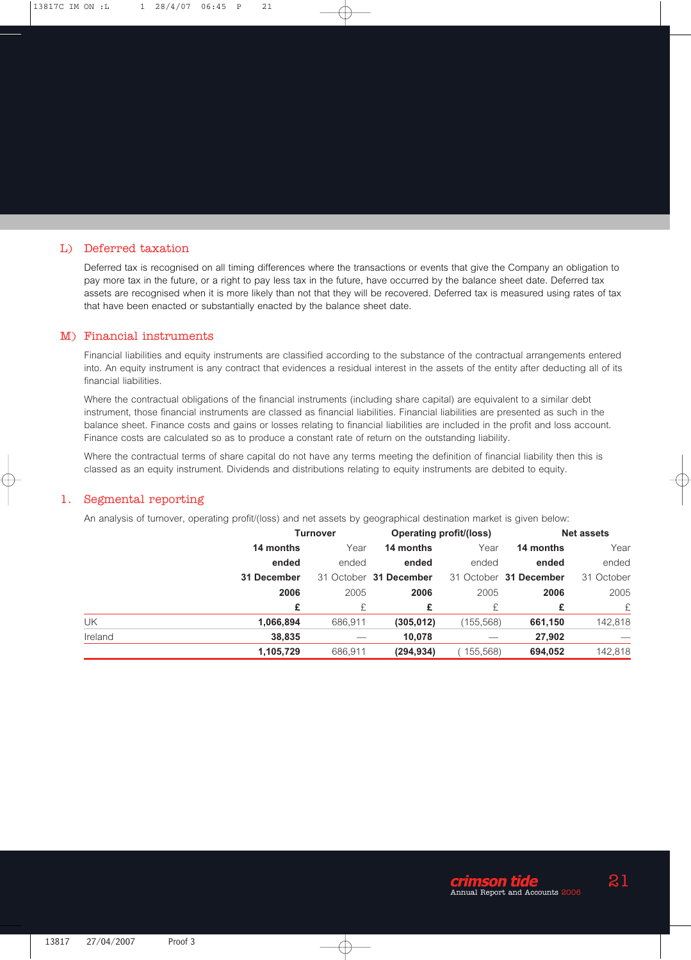### L) Deferred taxation

Deferred tax is recognised on all timing differences where the transactions or events that give the Company an obligation to pay more tax in the future, or a right to pay less tax in the future, have occurred by the balance sheet date. Deferred tax assets are recognised when it is more likely than not that they will be recovered. Deferred tax is measured using rates of tax that have been enacted or substantially enacted by the balance sheet date.

#### M) Financial instruments

Financial liabilities and equity instruments are classified according to the substance of the contractual arrangements entered into. An equity instrument is any contract that evidences a residual interest in the assets of the entity after deducting all of its financial liabilities.

Where the contractual obligations of the financial instruments (including share capital) are equivalent to a similar debt instrument, those financial instruments are classed as financial liabilities. Financial liabilities are presented as such in the balance sheet. Finance costs and gains or losses relating to financial liabilities are included in the profit and loss account. Finance costs are calculated so as to produce a constant rate of return on the outstanding liability.

Where the contractual terms of share capital do not have any terms meeting the definition of financial liability then this is classed as an equity instrument. Dividends and distributions relating to equity instruments are debited to equity.

### 1. Segmental reporting

An analysis of turnover, operating profit/(loss) and net assets by geographical destination market is given below:

|         |             | <b>Turnover</b> |                        | <b>Operating profit/(loss)</b> | <b>Net assets</b>      |            |
|---------|-------------|-----------------|------------------------|--------------------------------|------------------------|------------|
|         | 14 months   | Year            | 14 months              | Year                           | 14 months              | Year       |
|         | ended       | ended           | ended                  | ended                          | ended                  | ended      |
|         | 31 December |                 | 31 October 31 December |                                | 31 October 31 December | 31 October |
|         | 2006        | 2005            | 2006                   | 2005                           | 2006                   | 2005       |
|         | £           | £               | £                      | £                              | £                      | £          |
| UK      | 1,066,894   | 686,911         | (305, 012)             | (155,568)                      | 661,150                | 142,818    |
| Ireland | 38,835      |                 | 10,078                 |                                | 27,902                 |            |
|         | 1,105,729   | 686,911         | (294, 934)             | 155,568)                       | 694.052                | 142,818    |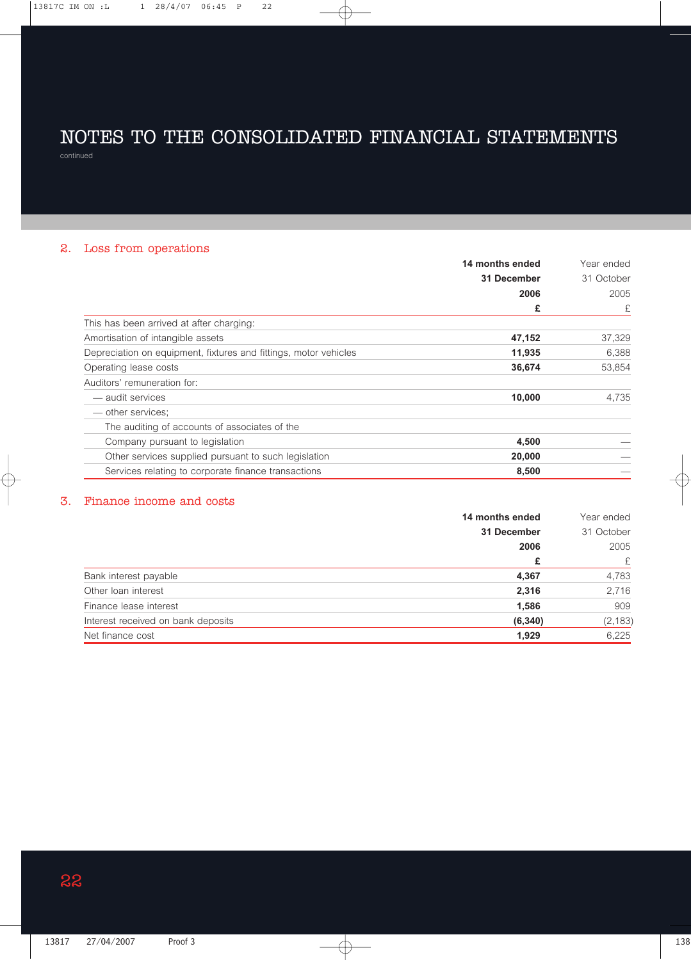continued

## 2. Loss from operations

|                                                                  | 14 months ended | Year ended<br>31 October |  |
|------------------------------------------------------------------|-----------------|--------------------------|--|
|                                                                  | 31 December     |                          |  |
|                                                                  | 2006            | 2005                     |  |
|                                                                  | £               | £                        |  |
| This has been arrived at after charging:                         |                 |                          |  |
| Amortisation of intangible assets                                | 47,152          | 37,329                   |  |
| Depreciation on equipment, fixtures and fittings, motor vehicles | 11,935          | 6,388                    |  |
| Operating lease costs                                            | 36,674          | 53,854                   |  |
| Auditors' remuneration for:                                      |                 |                          |  |
| — audit services                                                 | 10,000          | 4,735                    |  |
| - other services;                                                |                 |                          |  |
| The auditing of accounts of associates of the                    |                 |                          |  |
| Company pursuant to legislation                                  | 4,500           |                          |  |
| Other services supplied pursuant to such legislation             | 20,000          |                          |  |
| Services relating to corporate finance transactions              | 8,500           |                          |  |

### 3. Finance income and costs

|                                    | 14 months ended |            |
|------------------------------------|-----------------|------------|
|                                    | 31 December     | 31 October |
|                                    | 2006            | 2005       |
|                                    | £               | £          |
| Bank interest payable              | 4,367           | 4,783      |
| Other loan interest                | 2,316           | 2,716      |
| Finance lease interest             | 1,586           | 909        |
| Interest received on bank deposits | (6, 340)        | (2, 183)   |
| Net finance cost                   | 1,929           | 6,225      |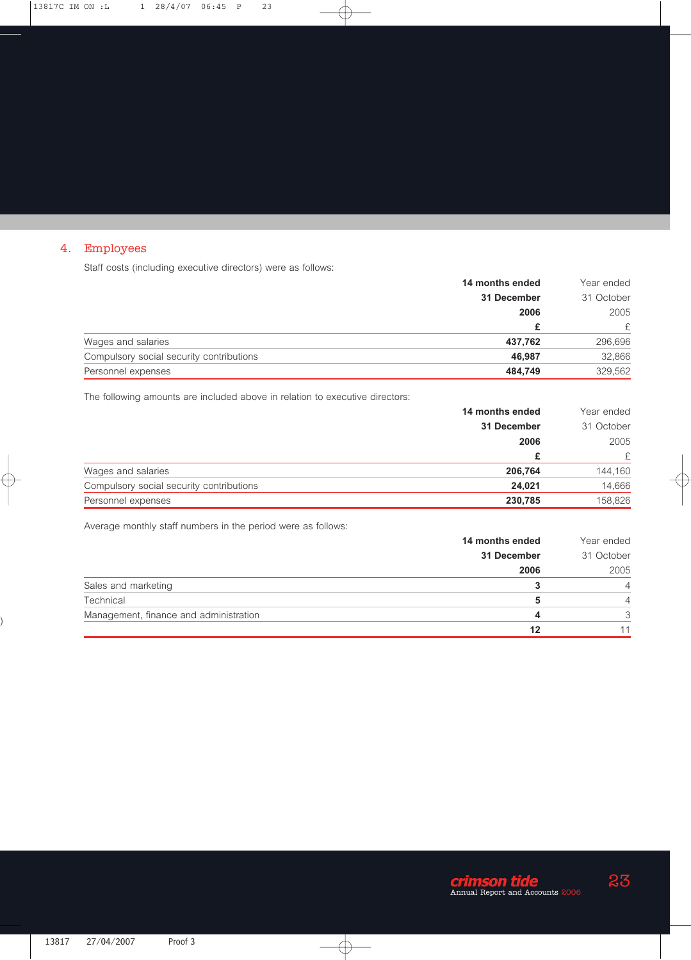## 4. Employees

Staff costs (including executive directors) were as follows:

|                                          | 14 months ended |            |
|------------------------------------------|-----------------|------------|
|                                          | 31 December     | 31 October |
|                                          | 2006            | 2005       |
|                                          | £               | £          |
| Wages and salaries                       | 437,762         | 296,696    |
| Compulsory social security contributions | 46.987          | 32,866     |
| Personnel expenses                       | 484,749         | 329,562    |

The following amounts are included above in relation to executive directors:

|                                          | 14 months ended |            |
|------------------------------------------|-----------------|------------|
|                                          | 31 December     | 31 October |
|                                          | 2006            | 2005       |
|                                          | £               | £          |
| Wages and salaries                       | 206,764         | 144,160    |
| Compulsory social security contributions | 24,021          | 14,666     |
| Personnel expenses                       | 230,785         | 158,826    |

Average monthly staff numbers in the period were as follows:

|                                        | 14 months ended | Year ended |
|----------------------------------------|-----------------|------------|
|                                        | 31 December     | 31 October |
|                                        | 2006            | 2005       |
| Sales and marketing                    |                 |            |
| Technical                              | 5               |            |
| Management, finance and administration | 4               | 3          |
|                                        | 12              |            |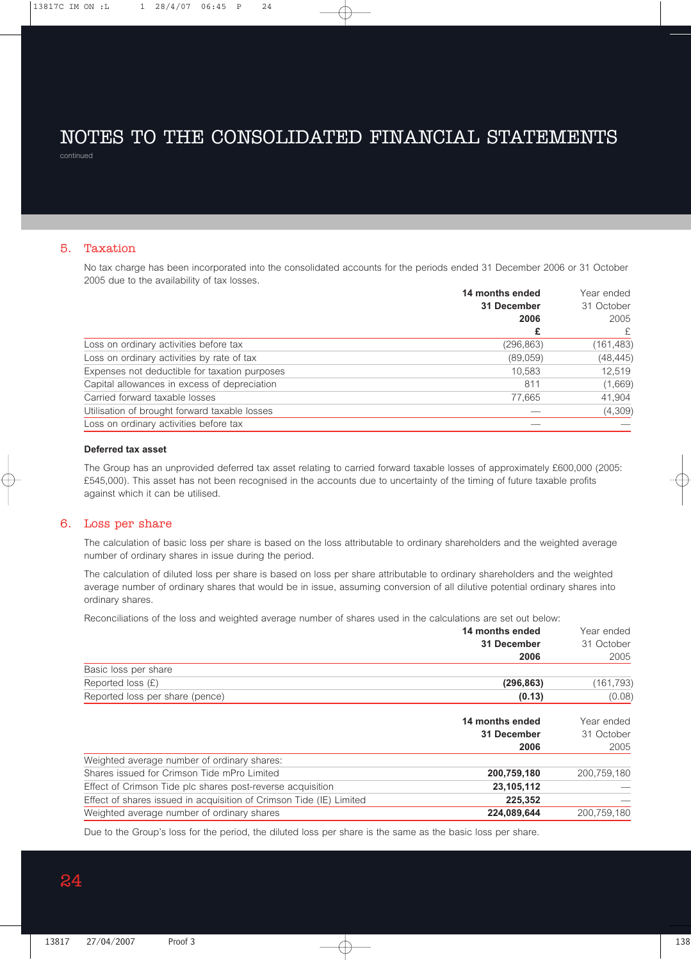continued

### 5. Taxation

No tax charge has been incorporated into the consolidated accounts for the periods ended 31 December 2006 or 31 October 2005 due to the availability of tax losses.

|                                               | 14 months ended<br>31 December | Year ended |
|-----------------------------------------------|--------------------------------|------------|
|                                               |                                | 31 October |
|                                               | 2006                           | 2005       |
|                                               |                                | £          |
| Loss on ordinary activities before tax        | (296,863)                      | (161, 483) |
| Loss on ordinary activities by rate of tax    | (89,059)                       | (48, 445)  |
| Expenses not deductible for taxation purposes | 10,583                         | 12,519     |
| Capital allowances in excess of depreciation  | 811                            | (1,669)    |
| Carried forward taxable losses                | 77,665                         | 41,904     |
| Utilisation of brought forward taxable losses |                                | (4,309)    |
| Loss on ordinary activities before tax        |                                |            |

#### *Deferred tax asset*

The Group has an unprovided deferred tax asset relating to carried forward taxable losses of approximately £600,000 (2005: £545,000). This asset has not been recognised in the accounts due to uncertainty of the timing of future taxable profits against which it can be utilised.

#### 6. Loss per share

The calculation of basic loss per share is based on the loss attributable to ordinary shareholders and the weighted average number of ordinary shares in issue during the period.

The calculation of diluted loss per share is based on loss per share attributable to ordinary shareholders and the weighted average number of ordinary shares that would be in issue, assuming conversion of all dilutive potential ordinary shares into ordinary shares.

Reconciliations of the loss and weighted average number of shares used in the calculations are set out below:

|                                                                     | 14 months ended<br>31 December<br>2006 | Year ended<br>31 October<br>2005 |
|---------------------------------------------------------------------|----------------------------------------|----------------------------------|
| Basic loss per share                                                |                                        |                                  |
| Reported loss $(E)$                                                 | (296, 863)                             | (161, 793)                       |
| Reported loss per share (pence)                                     | (0.13)                                 | (0.08)                           |
|                                                                     | 14 months ended                        | Year ended                       |
|                                                                     | 31 December                            | 31 October                       |
|                                                                     | 2006                                   | 2005                             |
| Weighted average number of ordinary shares:                         |                                        |                                  |
| Shares issued for Crimson Tide mPro Limited                         | 200,759,180                            | 200,759,180                      |
| Effect of Crimson Tide plc shares post-reverse acquisition          | 23,105,112                             |                                  |
| Effect of shares issued in acquisition of Crimson Tide (IE) Limited | 225,352                                |                                  |
| Weighted average number of ordinary shares                          | 224,089,644                            | 200,759,180                      |

Due to the Group's loss for the period, the diluted loss per share is the same as the basic loss per share.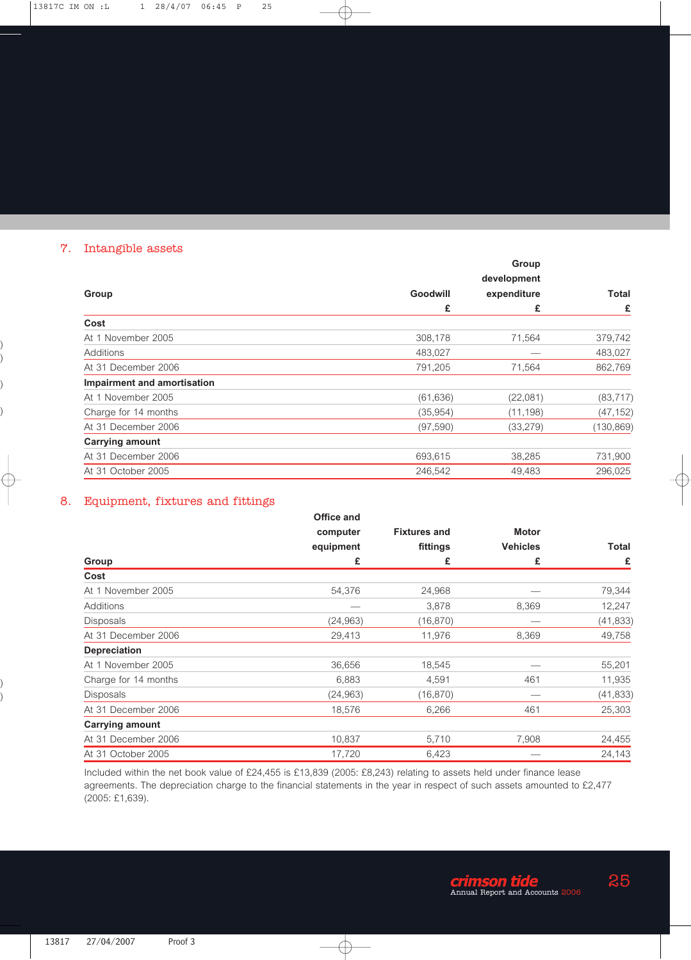## 7. Intangible assets

|                                    |                 | Group       |              |  |
|------------------------------------|-----------------|-------------|--------------|--|
|                                    |                 | development |              |  |
| Group                              | <b>Goodwill</b> | expenditure | <b>Total</b> |  |
|                                    | £               | £           | £            |  |
| Cost                               |                 |             |              |  |
| At 1 November 2005                 | 308,178         | 71,564      | 379,742      |  |
| Additions                          | 483,027         |             | 483,027      |  |
| At 31 December 2006                | 791,205         | 71,564      | 862,769      |  |
| <b>Impairment and amortisation</b> |                 |             |              |  |
| At 1 November 2005                 | (61, 636)       | (22,081)    | (83, 717)    |  |
| Charge for 14 months               | (35, 954)       | (11, 198)   | (47, 152)    |  |
| At 31 December 2006                | (97, 590)       | (33, 279)   | (130, 869)   |  |
| <b>Carrying amount</b>             |                 |             |              |  |
| At 31 December 2006                | 693,615         | 38,285      | 731,900      |  |
| At 31 October 2005                 | 246,542         | 49,483      | 296,025      |  |

## 8. Equipment, fixtures and fittings

|                        | <b>Office and</b> |                     |                 |              |
|------------------------|-------------------|---------------------|-----------------|--------------|
|                        | computer          | <b>Fixtures and</b> | <b>Motor</b>    |              |
|                        | equipment         | fittings            | <b>Vehicles</b> | <b>Total</b> |
| Group                  | £                 | £                   | £               | £            |
| Cost                   |                   |                     |                 |              |
| At 1 November 2005     | 54,376            | 24,968              |                 | 79,344       |
| Additions              |                   | 3,878               | 8,369           | 12,247       |
| <b>Disposals</b>       | (24, 963)         | (16, 870)           |                 | (41, 833)    |
| At 31 December 2006    | 29,413            | 11,976              | 8,369           | 49,758       |
| <b>Depreciation</b>    |                   |                     |                 |              |
| At 1 November 2005     | 36,656            | 18,545              |                 | 55,201       |
| Charge for 14 months   | 6,883             | 4,591               | 461             | 11,935       |
| Disposals              | (24, 963)         | (16, 870)           |                 | (41, 833)    |
| At 31 December 2006    | 18,576            | 6,266               | 461             | 25,303       |
| <b>Carrying amount</b> |                   |                     |                 |              |
| At 31 December 2006    | 10,837            | 5,710               | 7,908           | 24,455       |
| At 31 October 2005     | 17,720            | 6,423               |                 | 24,143       |

Included within the net book value of £24,455 is £13,839 (2005: £8,243) relating to assets held under finance lease agreements. The depreciation charge to the financial statements in the year in respect of such assets amounted to £2,477 (2005: £1,639).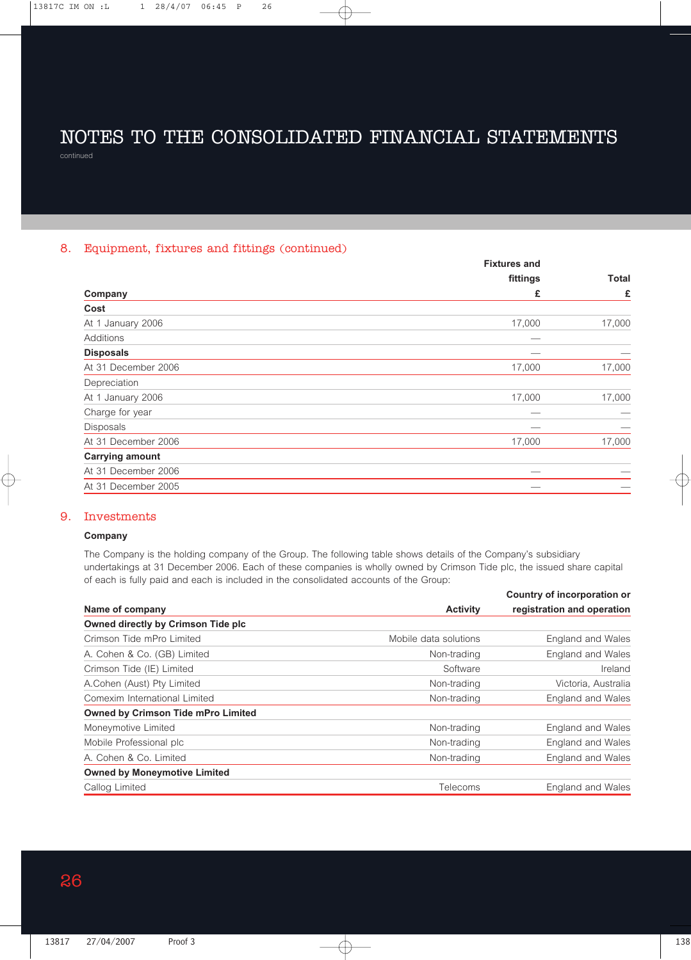continued

## 8. Equipment, fixtures and fittings (continued)

|                        | <b>Fixtures and</b> |              |
|------------------------|---------------------|--------------|
|                        | fittings            | <b>Total</b> |
| Company                | £                   | £            |
| Cost                   |                     |              |
| At 1 January 2006      | 17,000              | 17,000       |
| Additions              |                     |              |
| <b>Disposals</b>       |                     |              |
| At 31 December 2006    | 17,000              | 17,000       |
| Depreciation           |                     |              |
| At 1 January 2006      | 17,000              | 17,000       |
| Charge for year        |                     |              |
| Disposals              |                     |              |
| At 31 December 2006    | 17,000              | 17,000       |
| <b>Carrying amount</b> |                     |              |
| At 31 December 2006    |                     |              |
| At 31 December 2005    |                     |              |
|                        |                     |              |

### 9. Investments

#### *Company*

The Company is the holding company of the Group. The following table shows details of the Company's subsidiary undertakings at 31 December 2006. Each of these companies is wholly owned by Crimson Tide plc, the issued share capital of each is fully paid and each is included in the consolidated accounts of the Group:

|                                           |                       | Country of incorporation or |
|-------------------------------------------|-----------------------|-----------------------------|
| Name of company                           | <b>Activity</b>       | registration and operation  |
| <b>Owned directly by Crimson Tide plc</b> |                       |                             |
| Crimson Tide mPro Limited                 | Mobile data solutions | England and Wales           |
| A. Cohen & Co. (GB) Limited               | Non-trading           | England and Wales           |
| Crimson Tide (IE) Limited                 | Software              | Ireland                     |
| A.Cohen (Aust) Pty Limited                | Non-trading           | Victoria, Australia         |
| Comexim International Limited             | Non-trading           | England and Wales           |
| <b>Owned by Crimson Tide mPro Limited</b> |                       |                             |
| Moneymotive Limited                       | Non-trading           | England and Wales           |
| Mobile Professional plc                   | Non-trading           | England and Wales           |
| A. Cohen & Co. Limited                    | Non-trading           | England and Wales           |
| <b>Owned by Moneymotive Limited</b>       |                       |                             |
| Callog Limited                            | Telecoms              | England and Wales           |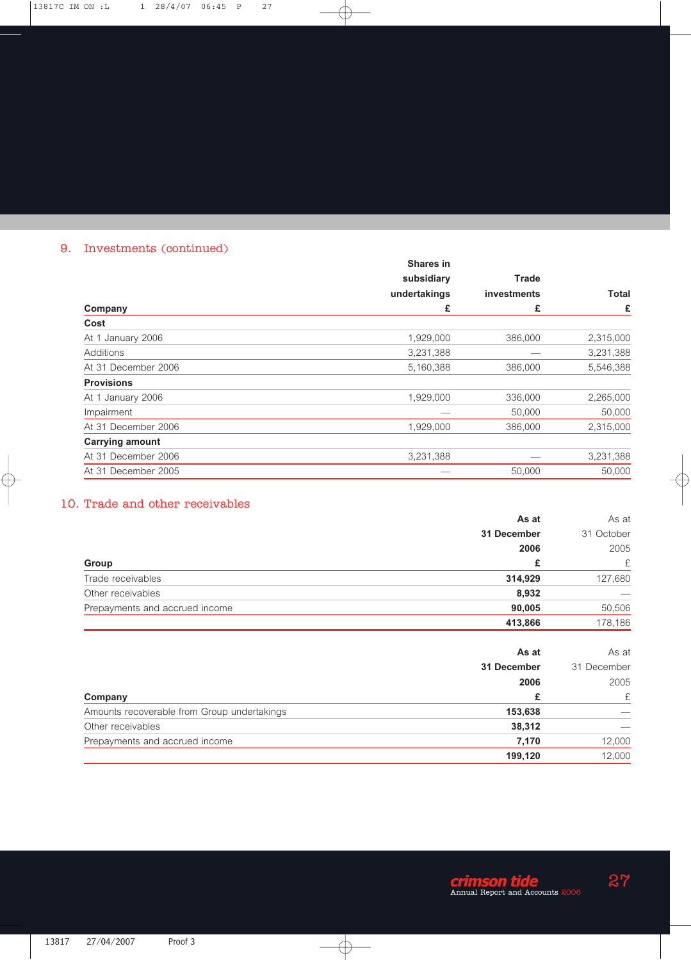## 9. Investments (continued)

|                        | <b>Shares in</b> |              |              |
|------------------------|------------------|--------------|--------------|
|                        | subsidiary       | <b>Trade</b> |              |
|                        | undertakings     | investments  | <b>Total</b> |
| Company                | £                | £            | £            |
| Cost                   |                  |              |              |
| At 1 January 2006      | 1,929,000        | 386,000      | 2,315,000    |
| Additions              | 3,231,388        |              | 3,231,388    |
| At 31 December 2006    | 5,160,388        | 386,000      | 5,546,388    |
| <b>Provisions</b>      |                  |              |              |
| At 1 January 2006      | 1,929,000        | 336,000      | 2,265,000    |
| Impairment             |                  | 50,000       | 50,000       |
| At 31 December 2006    | 1,929,000        | 386,000      | 2,315,000    |
| <b>Carrying amount</b> |                  |              |              |
| At 31 December 2006    | 3,231,388        |              | 3,231,388    |
| At 31 December 2005    |                  | 50,000       | 50,000       |

## 10. Trade and other receivables

|                                             | As at       | As at       |
|---------------------------------------------|-------------|-------------|
|                                             | 31 December | 31 October  |
|                                             | 2006        | 2005        |
| Group                                       | £           | £           |
| Trade receivables                           | 314,929     | 127,680     |
| Other receivables                           | 8,932       |             |
| Prepayments and accrued income              | 90,005      | 50,506      |
|                                             | 413,866     | 178,186     |
|                                             |             |             |
|                                             | As at       | As at       |
|                                             | 31 December | 31 December |
|                                             | 2006        | 2005        |
| Company                                     | £           | £           |
| Amounts recoverable from Group undertakings | 153,638     |             |
| Other receivables                           | 38,312      |             |
| Prepayments and accrued income              | 7,170       | 12,000      |
|                                             | 199,120     | 12,000      |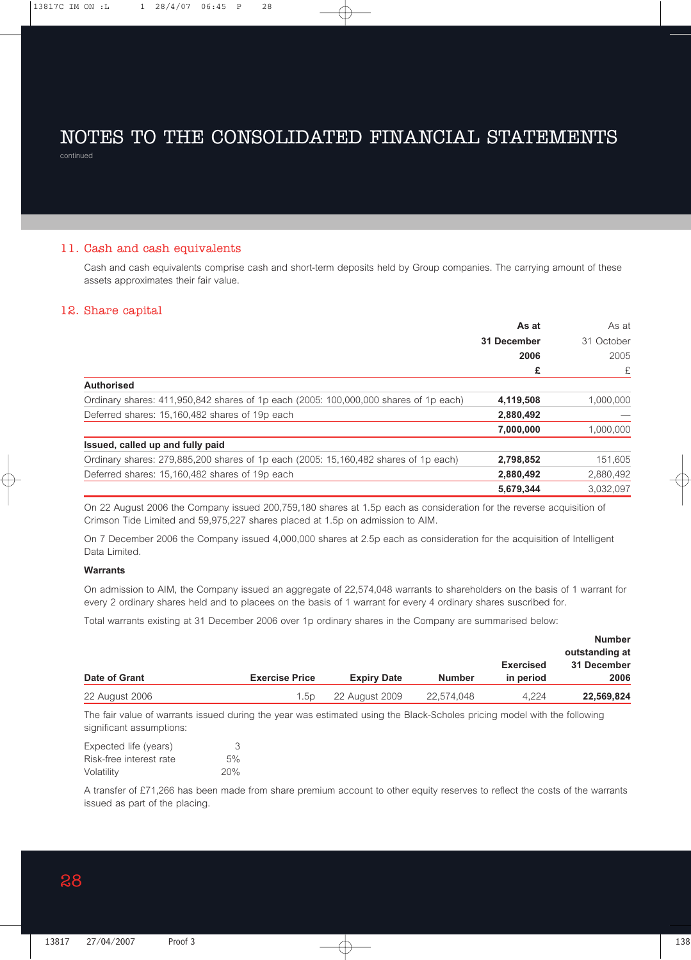continued

### 11. Cash and cash equivalents

Cash and cash equivalents comprise cash and short-term deposits held by Group companies. The carrying amount of these assets approximates their fair value.

#### 12. Share capital

|                                                                                      | As at       | As at      |
|--------------------------------------------------------------------------------------|-------------|------------|
|                                                                                      | 31 December | 31 October |
|                                                                                      | 2006        | 2005       |
|                                                                                      | £           | £          |
| <b>Authorised</b>                                                                    |             |            |
| Ordinary shares: 411,950,842 shares of 1p each (2005: 100,000,000 shares of 1p each) | 4,119,508   | 1,000,000  |
| Deferred shares: 15,160,482 shares of 19p each                                       | 2,880,492   |            |
|                                                                                      | 7,000,000   | 1,000,000  |
| Issued, called up and fully paid                                                     |             |            |
| Ordinary shares: 279,885,200 shares of 1p each (2005: 15,160,482 shares of 1p each)  | 2,798,852   | 151,605    |
| Deferred shares: 15,160,482 shares of 19p each                                       | 2,880,492   | 2,880,492  |
|                                                                                      | 5,679,344   | 3,032,097  |
|                                                                                      |             |            |

On 22 August 2006 the Company issued 200,759,180 shares at 1.5p each as consideration for the reverse acquisition of Crimson Tide Limited and 59,975,227 shares placed at 1.5p on admission to AIM.

On 7 December 2006 the Company issued 4,000,000 shares at 2.5p each as consideration for the acquisition of Intelligent Data Limited.

#### *Warrants*

On admission to AIM, the Company issued an aggregate of 22,574,048 warrants to shareholders on the basis of 1 warrant for every 2 ordinary shares held and to placees on the basis of 1 warrant for every 4 ordinary shares suscribed for.

Total warrants existing at 31 December 2006 over 1p ordinary shares in the Company are summarised below:

|                |                       |                    |               |                               | <b>Number</b><br>outstanding at |
|----------------|-----------------------|--------------------|---------------|-------------------------------|---------------------------------|
| Date of Grant  | <b>Exercise Price</b> | <b>Expiry Date</b> | <b>Number</b> | <b>Exercised</b><br>in period | 31 December<br>2006             |
| 22 August 2006 | 1.5p                  | 22 August 2009     | 22.574.048    | 4.224                         | 22,569,824                      |

The fair value of warrants issued during the year was estimated using the Black-Scholes pricing model with the following significant assumptions:

| Expected life (years)   | 3   |
|-------------------------|-----|
| Risk-free interest rate | 5%  |
| Volatility              | 20% |

A transfer of £71,266 has been made from share premium account to other equity reserves to reflect the costs of the warrants issued as part of the placing.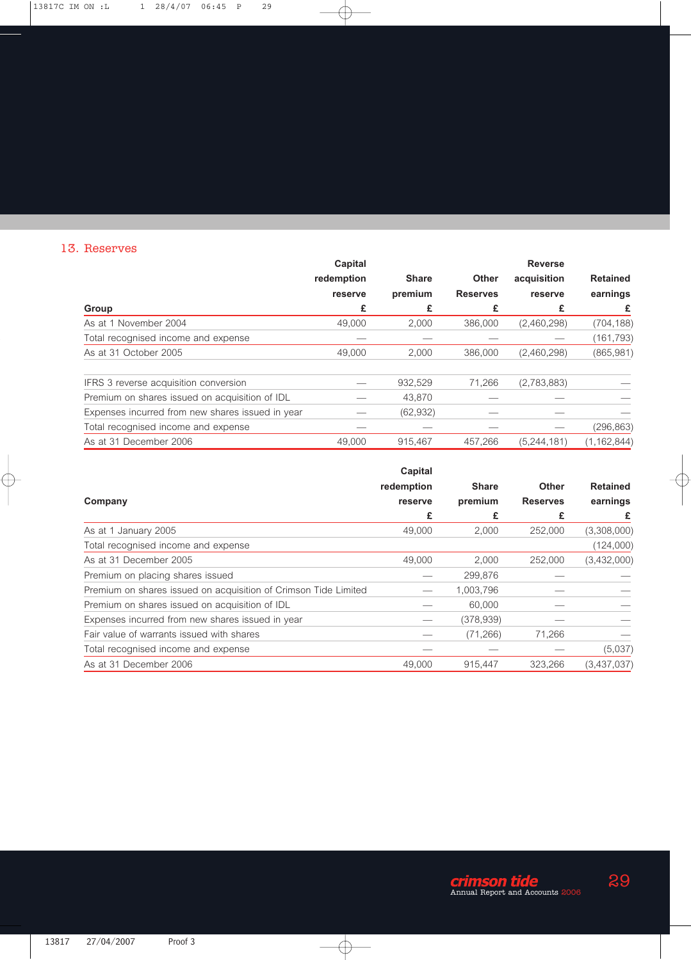## 13. Reserves

|                                                  | Capital    |              |                 | <b>Reverse</b> |                 |
|--------------------------------------------------|------------|--------------|-----------------|----------------|-----------------|
|                                                  | redemption | <b>Share</b> | <b>Other</b>    | acquisition    | <b>Retained</b> |
|                                                  | reserve    | premium      | <b>Reserves</b> | reserve        | earnings        |
| Group                                            | £          | £            | £               | £              | £               |
| As at 1 November 2004                            | 49,000     | 2,000        | 386,000         | (2,460,298)    | (704, 188)      |
| Total recognised income and expense              |            |              |                 |                | (161, 793)      |
| As at 31 October 2005                            | 49,000     | 2.000        | 386,000         | (2,460,298)    | (865, 981)      |
| IFRS 3 reverse acquisition conversion            |            | 932,529      | 71,266          | (2,783,883)    |                 |
| Premium on shares issued on acquisition of IDL   |            | 43.870       |                 |                |                 |
| Expenses incurred from new shares issued in year |            | (62, 932)    |                 |                |                 |
| Total recognised income and expense              |            |              |                 |                | (296, 863)      |
| As at 31 December 2006                           | 49,000     | 915.467      | 457.266         | (5,244,181)    | (1, 162, 844)   |

|                                                                 | <b>Capital</b> |              |                 |                 |
|-----------------------------------------------------------------|----------------|--------------|-----------------|-----------------|
|                                                                 | redemption     | <b>Share</b> | <b>Other</b>    | <b>Retained</b> |
| Company                                                         | reserve        | premium      | <b>Reserves</b> | earnings        |
|                                                                 | £              | £            | £               | £               |
| As at 1 January 2005                                            | 49,000         | 2,000        | 252,000         | (3,308,000)     |
| Total recognised income and expense                             |                |              |                 | (124,000)       |
| As at 31 December 2005                                          | 49,000         | 2,000        | 252,000         | (3,432,000)     |
| Premium on placing shares issued                                |                | 299,876      |                 |                 |
| Premium on shares issued on acquisition of Crimson Tide Limited |                | 1,003,796    |                 |                 |
| Premium on shares issued on acquisition of IDL                  |                | 60,000       |                 |                 |
| Expenses incurred from new shares issued in year                |                | (378, 939)   |                 |                 |
| Fair value of warrants issued with shares                       |                | (71, 266)    | 71,266          |                 |
| Total recognised income and expense                             |                |              |                 | (5,037)         |
| As at 31 December 2006                                          | 49,000         | 915,447      | 323,266         | (3,437,037)     |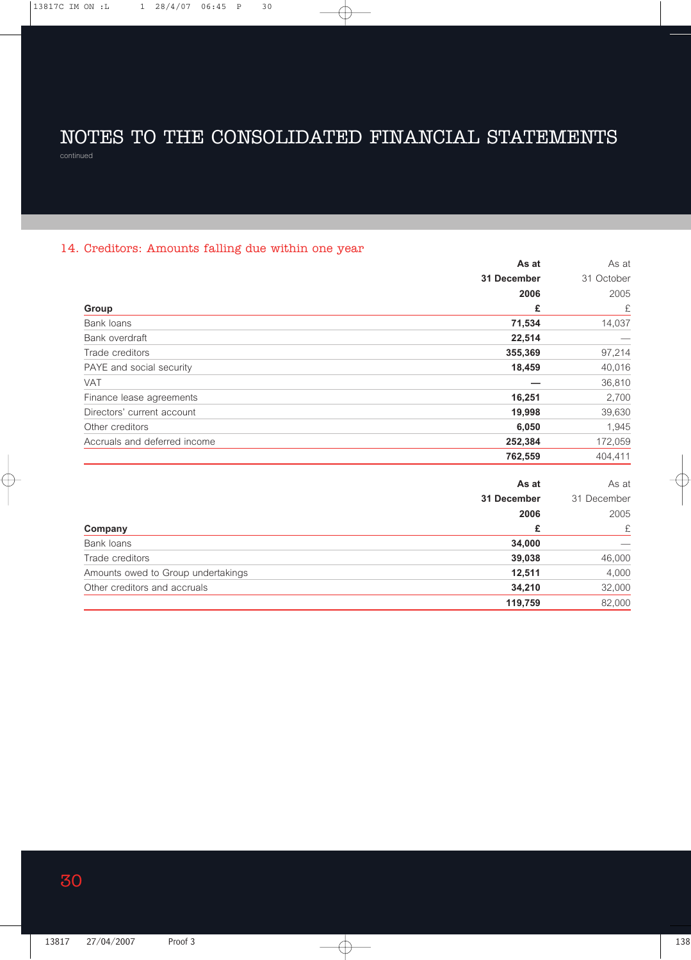continued

## 14. Creditors: Amounts falling due within one year

|                                    | As at              | As at       |
|------------------------------------|--------------------|-------------|
|                                    | <b>31 December</b> | 31 October  |
|                                    | 2006               | 2005        |
| Group                              | £                  | £           |
| Bank loans                         | 71,534             | 14,037      |
| Bank overdraft                     | 22,514             |             |
| Trade creditors                    | 355,369            | 97,214      |
| PAYE and social security           | 18,459             | 40,016      |
| <b>VAT</b>                         |                    | 36,810      |
| Finance lease agreements           | 16,251             | 2,700       |
| Directors' current account         | 19,998             | 39,630      |
| Other creditors                    | 6,050              | 1,945       |
| Accruals and deferred income       | 252,384            | 172,059     |
|                                    | 762,559            | 404,411     |
|                                    | As at              | As at       |
|                                    | 31 December        | 31 December |
|                                    | 2006               | 2005        |
| Company                            | £                  | £           |
| Bank loans                         | 34,000             |             |
| Trade creditors                    | 39,038             | 46,000      |
| Amounts owed to Group undertakings | 12,511             | 4,000       |
| Other creditors and accruals       | 34,210             | 32,000      |

*119,759* 82,000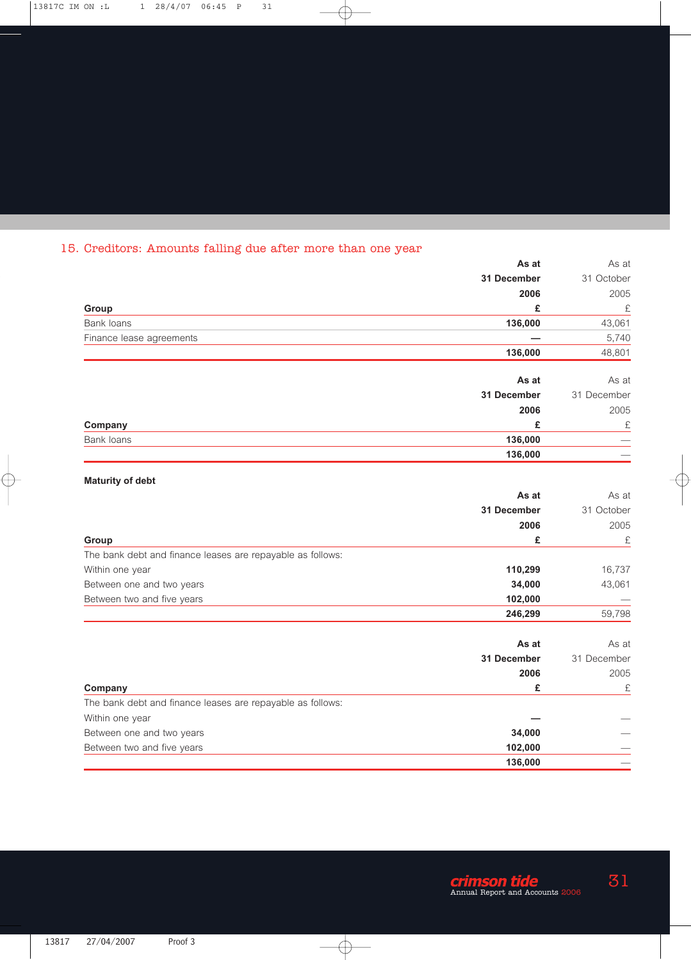## 15. Creditors: Amounts falling due after more than one year

|                                                            | As at       | As at       |
|------------------------------------------------------------|-------------|-------------|
|                                                            | 31 December | 31 October  |
|                                                            | 2006        | 2005        |
| Group                                                      | £           | £           |
| <b>Bank loans</b>                                          | 136,000     | 43,061      |
| Finance lease agreements                                   |             | 5,740       |
|                                                            | 136,000     | 48,801      |
|                                                            | As at       | As at       |
|                                                            | 31 December | 31 December |
|                                                            | 2006        | 2005        |
| Company                                                    | £           | £           |
| Bank loans                                                 | 136,000     |             |
|                                                            | 136,000     |             |
| <b>Maturity of debt</b>                                    |             |             |
|                                                            | As at       | As at       |
|                                                            | 31 December | 31 October  |
|                                                            | 2006        | 2005        |
| Group                                                      | £           | £           |
| The bank debt and finance leases are repayable as follows: |             |             |
| Within one year                                            | 110,299     | 16,737      |
| Between one and two years                                  | 34,000      | 43,061      |
| Between two and five years                                 | 102,000     |             |
|                                                            | 246,299     | 59,798      |

|                                                            | As at       | As at       |
|------------------------------------------------------------|-------------|-------------|
|                                                            | 31 December | 31 December |
|                                                            | 2006        | 2005        |
| Company                                                    | £           | £           |
| The bank debt and finance leases are repayable as follows: |             |             |
| Within one year                                            |             |             |
| Between one and two years                                  | 34,000      |             |
| Between two and five years                                 | 102,000     |             |
|                                                            | 136,000     |             |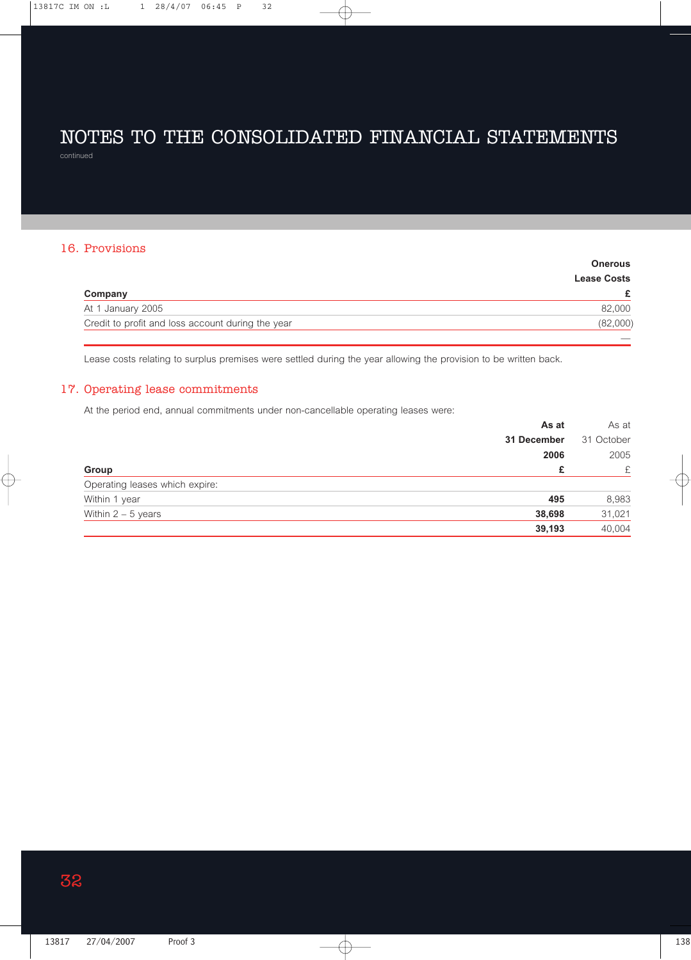continued

## 16. Provisions

|                                                   | <b>Onerous</b>           |
|---------------------------------------------------|--------------------------|
|                                                   | <b>Lease Costs</b>       |
| Company                                           |                          |
| At 1 January 2005                                 | 82,000                   |
| Credit to profit and loss account during the year | (82,000)                 |
|                                                   | $\overline{\phantom{a}}$ |

Lease costs relating to surplus premises were settled during the year allowing the provision to be written back.

## 17. Operating lease commitments

At the period end, annual commitments under non-cancellable operating leases were:

|                                | As at       | As at      |
|--------------------------------|-------------|------------|
|                                | 31 December | 31 October |
|                                | 2006        | 2005       |
| Group                          |             | £          |
| Operating leases which expire: |             |            |
| Within 1 year                  | 495         | 8,983      |
| Within $2 - 5$ years           | 38,698      | 31,021     |
|                                | 39,193      | 40,004     |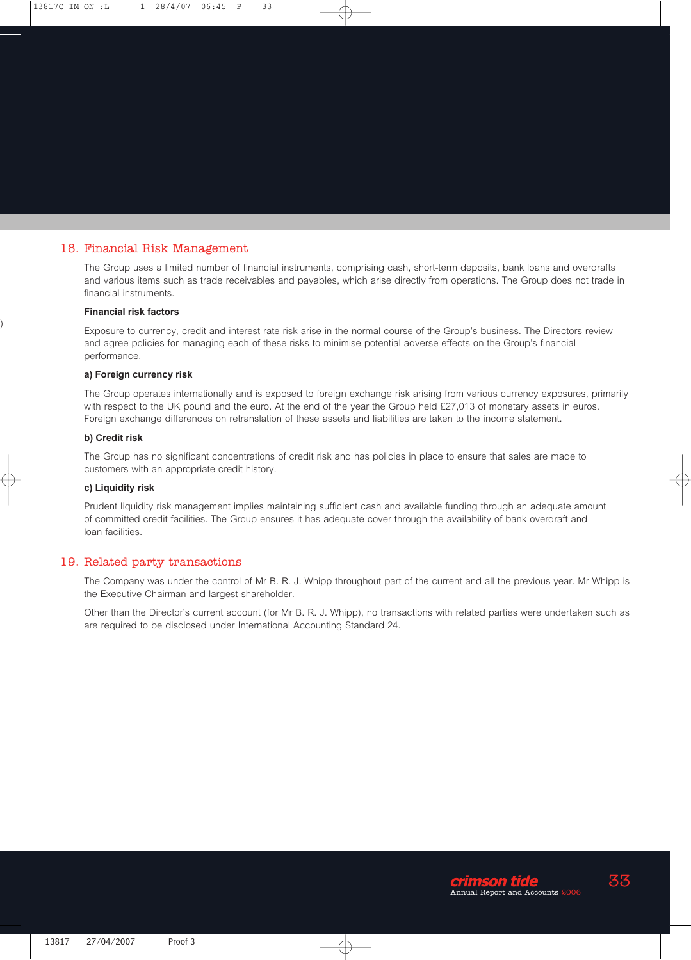## 18. Financial Risk Management

The Group uses a limited number of financial instruments, comprising cash, short-term deposits, bank loans and overdrafts and various items such as trade receivables and payables, which arise directly from operations. The Group does not trade in financial instruments.

#### *Financial risk factors*

Exposure to currency, credit and interest rate risk arise in the normal course of the Group's business. The Directors review and agree policies for managing each of these risks to minimise potential adverse effects on the Group's financial performance.

#### *a) Foreign currency risk*

The Group operates internationally and is exposed to foreign exchange risk arising from various currency exposures, primarily with respect to the UK pound and the euro. At the end of the year the Group held £27,013 of monetary assets in euros. Foreign exchange differences on retranslation of these assets and liabilities are taken to the income statement.

#### *b) Credit risk*

The Group has no significant concentrations of credit risk and has policies in place to ensure that sales are made to customers with an appropriate credit history.

#### *c) Liquidity risk*

Prudent liquidity risk management implies maintaining sufficient cash and available funding through an adequate amount of committed credit facilities. The Group ensures it has adequate cover through the availability of bank overdraft and loan facilities.

#### 19. Related party transactions

The Company was under the control of Mr B. R. J. Whipp throughout part of the current and all the previous year. Mr Whipp is the Executive Chairman and largest shareholder.

Other than the Director's current account (for Mr B. R. J. Whipp), no transactions with related parties were undertaken such as are required to be disclosed under International Accounting Standard 24.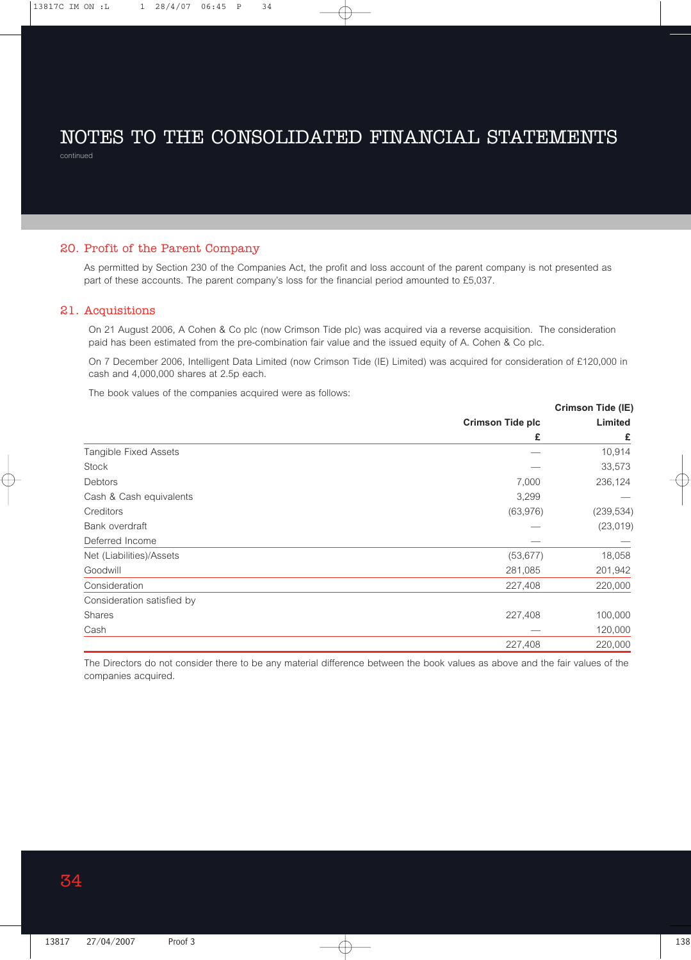continued

### 20. Profit of the Parent Company

As permitted by Section 230 of the Companies Act, the profit and loss account of the parent company is not presented as part of these accounts. The parent company's loss for the financial period amounted to £5,037.

#### 21. Acquisitions

On 21 August 2006, A Cohen & Co plc (now Crimson Tide plc) was acquired via a reverse acquisition. The consideration paid has been estimated from the pre-combination fair value and the issued equity of A. Cohen & Co plc.

On 7 December 2006, Intelligent Data Limited (now Crimson Tide (IE) Limited) was acquired for consideration of £120,000 in cash and 4,000,000 shares at 2.5p each.

The book values of the companies acquired were as follows:

|                              |                         | Crimson Tide (IE) |
|------------------------------|-------------------------|-------------------|
|                              | <b>Crimson Tide plc</b> | Limited           |
|                              | £                       | £                 |
| <b>Tangible Fixed Assets</b> |                         | 10,914            |
| <b>Stock</b>                 |                         | 33,573            |
| Debtors                      | 7,000                   | 236,124           |
| Cash & Cash equivalents      | 3,299                   |                   |
| Creditors                    | (63, 976)               | (239, 534)        |
| Bank overdraft               |                         | (23, 019)         |
| Deferred Income              |                         |                   |
| Net (Liabilities)/Assets     | (53, 677)               | 18,058            |
| Goodwill                     | 281,085                 | 201,942           |
| Consideration                | 227,408                 | 220,000           |
| Consideration satisfied by   |                         |                   |
| <b>Shares</b>                | 227,408                 | 100,000           |
| Cash                         |                         | 120,000           |
|                              | 227,408                 | 220,000           |

The Directors do not consider there to be any material difference between the book values as above and the fair values of the companies acquired.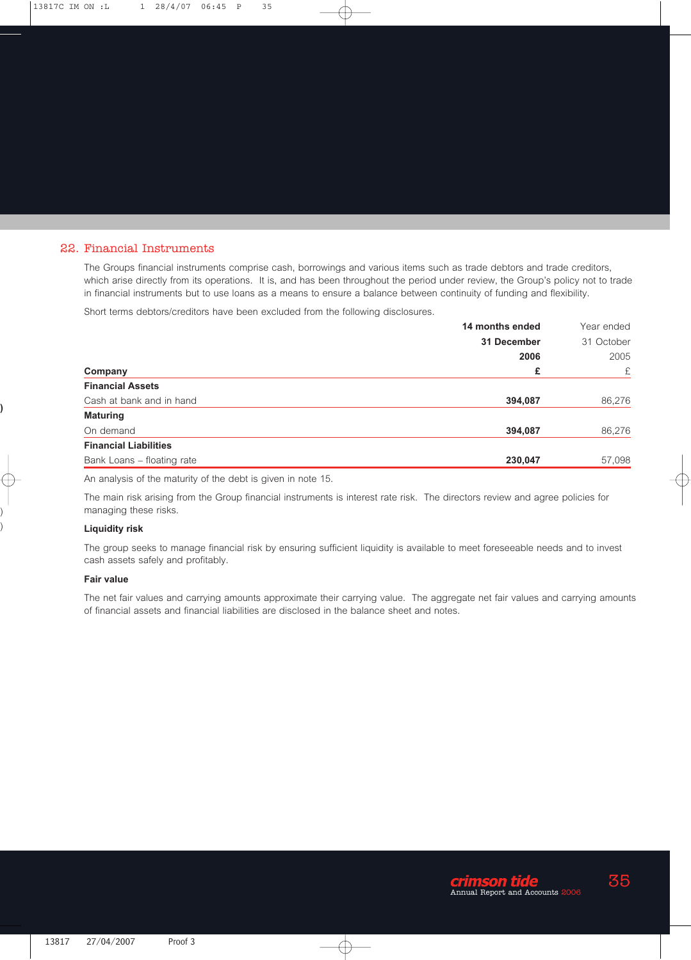### 22. Financial Instruments

The Groups financial instruments comprise cash, borrowings and various items such as trade debtors and trade creditors, which arise directly from its operations. It is, and has been throughout the period under review, the Group's policy not to trade in financial instruments but to use loans as a means to ensure a balance between continuity of funding and flexibility.

Short terms debtors/creditors have been excluded from the following disclosures.

|                              | 14 months ended | Year ended |
|------------------------------|-----------------|------------|
|                              | 31 December     | 31 October |
|                              | 2006            | 2005       |
| Company                      | £               | £          |
| <b>Financial Assets</b>      |                 |            |
| Cash at bank and in hand     | 394,087         | 86,276     |
| <b>Maturing</b>              |                 |            |
| On demand                    | 394,087         | 86,276     |
| <b>Financial Liabilities</b> |                 |            |
| Bank Loans - floating rate   | 230,047         | 57,098     |
|                              |                 |            |

An analysis of the maturity of the debt is given in note 15.

The main risk arising from the Group financial instruments is interest rate risk. The directors review and agree policies for managing these risks.

#### *Liquidity risk*

The group seeks to manage financial risk by ensuring sufficient liquidity is available to meet foreseeable needs and to invest cash assets safely and profitably.

#### *Fair value*

The net fair values and carrying amounts approximate their carrying value. The aggregate net fair values and carrying amounts of financial assets and financial liabilities are disclosed in the balance sheet and notes.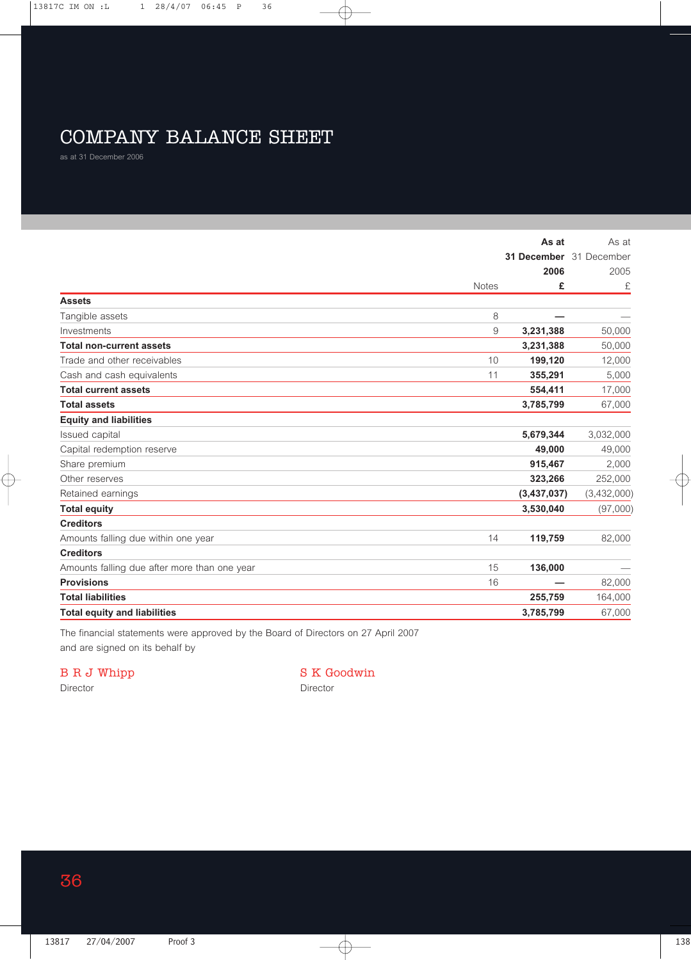## COMPANY BALANCE SHEET

as at 31 December 2006

|                                              |              | As at       | As at                   |
|----------------------------------------------|--------------|-------------|-------------------------|
|                                              |              |             | 31 December 31 December |
|                                              |              | 2006        | 2005                    |
|                                              | <b>Notes</b> | £           | £                       |
| <b>Assets</b>                                |              |             |                         |
| Tangible assets                              | 8            |             |                         |
| Investments                                  | 9            | 3,231,388   | 50,000                  |
| <b>Total non-current assets</b>              |              | 3,231,388   | 50,000                  |
| Trade and other receivables                  | 10           | 199,120     | 12,000                  |
| Cash and cash equivalents                    | 11           | 355,291     | 5,000                   |
| <b>Total current assets</b>                  |              | 554,411     | 17,000                  |
| <b>Total assets</b>                          |              | 3,785,799   | 67,000                  |
| <b>Equity and liabilities</b>                |              |             |                         |
| Issued capital                               |              | 5,679,344   | 3,032,000               |
| Capital redemption reserve                   |              | 49,000      | 49,000                  |
| Share premium                                |              | 915,467     | 2,000                   |
| Other reserves                               |              | 323,266     | 252,000                 |
| Retained earnings                            |              | (3,437,037) | (3,432,000)             |
| <b>Total equity</b>                          |              | 3,530,040   | (97,000)                |
| <b>Creditors</b>                             |              |             |                         |
| Amounts falling due within one year          | 14           | 119,759     | 82,000                  |
| <b>Creditors</b>                             |              |             |                         |
| Amounts falling due after more than one year | 15           | 136,000     |                         |
| <b>Provisions</b>                            | 16           |             | 82,000                  |
| <b>Total liabilities</b>                     |              | 255,759     | 164,000                 |
| <b>Total equity and liabilities</b>          |              | 3,785,799   | 67,000                  |

The financial statements were approved by the Board of Directors on 27 April 2007 and are signed on its behalf by

B R J Whipp S K Goodwin

Director **Director** Director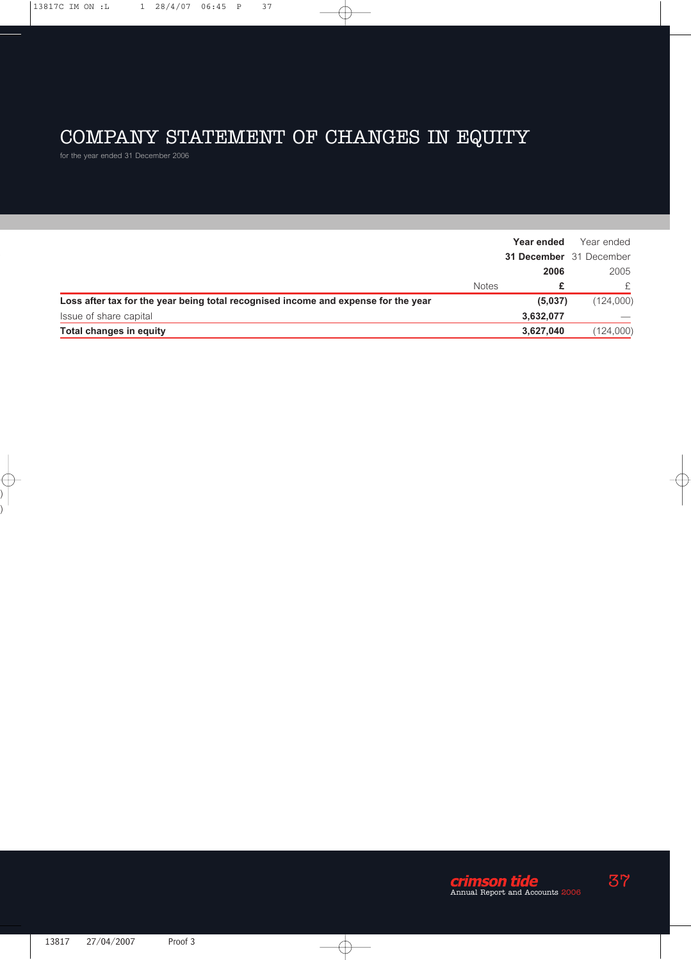## COMPANY STATEMENT OF CHANGES IN EQUITY

for the year ended 31 December 2006

|                                                                                    |              | <b>Year ended</b> | Year ended                     |
|------------------------------------------------------------------------------------|--------------|-------------------|--------------------------------|
|                                                                                    |              |                   | <b>31 December</b> 31 December |
|                                                                                    |              | 2006              | 2005                           |
|                                                                                    | <b>Notes</b> |                   |                                |
| Loss after tax for the year being total recognised income and expense for the year |              | (5,037)           | (124,000)                      |
| Issue of share capital                                                             |              | 3,632,077         |                                |
| <b>Total changes in equity</b>                                                     |              | 3,627,040         | (124,000)                      |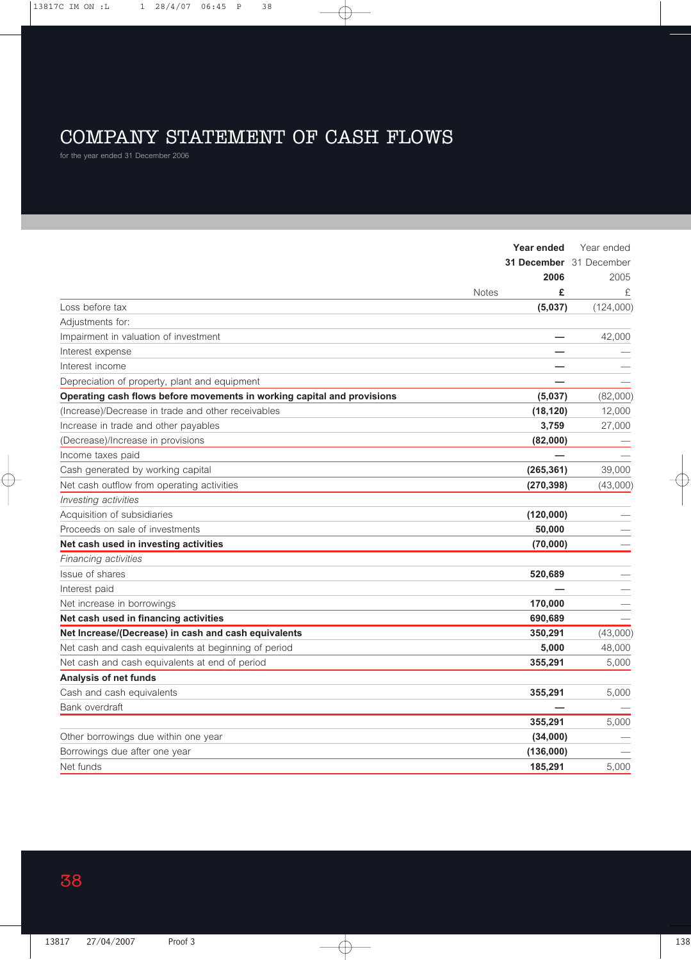## COMPANY STATEMENT OF CASH FLOWS

for the year ended 31 December 2006

|                                                                         | Year ended   | Year ended              |
|-------------------------------------------------------------------------|--------------|-------------------------|
|                                                                         |              | 31 December 31 December |
|                                                                         | 2006         | 2005                    |
|                                                                         | <b>Notes</b> | £<br>£                  |
| Loss before tax                                                         | (5,037)      | (124,000)               |
| Adjustments for:                                                        |              |                         |
| Impairment in valuation of investment                                   |              | 42,000                  |
| Interest expense                                                        |              |                         |
| Interest income                                                         |              |                         |
| Depreciation of property, plant and equipment                           |              |                         |
| Operating cash flows before movements in working capital and provisions | (5,037)      | (82,000)                |
| (Increase)/Decrease in trade and other receivables                      | (18, 120)    | 12,000                  |
| Increase in trade and other payables                                    | 3,759        | 27,000                  |
| (Decrease)/Increase in provisions                                       | (82,000)     |                         |
| Income taxes paid                                                       |              |                         |
| Cash generated by working capital                                       | (265, 361)   | 39,000                  |
| Net cash outflow from operating activities                              | (270, 398)   | (43,000)                |
| Investing activities                                                    |              |                         |
| Acquisition of subsidiaries                                             | (120,000)    |                         |
| Proceeds on sale of investments                                         | 50,000       |                         |
| Net cash used in investing activities                                   | (70,000)     |                         |
| Financing activities                                                    |              |                         |
| Issue of shares                                                         | 520,689      |                         |
| Interest paid                                                           |              |                         |
| Net increase in borrowings                                              | 170,000      |                         |
| Net cash used in financing activities                                   | 690,689      |                         |
| Net Increase/(Decrease) in cash and cash equivalents                    | 350,291      | (43,000)                |
| Net cash and cash equivalents at beginning of period                    | 5,000        | 48,000                  |
| Net cash and cash equivalents at end of period                          | 355,291      | 5,000                   |
| Analysis of net funds                                                   |              |                         |
| Cash and cash equivalents                                               | 355,291      | 5,000                   |
| Bank overdraft                                                          |              |                         |
|                                                                         | 355,291      | 5,000                   |
| Other borrowings due within one year                                    | (34,000)     |                         |
| Borrowings due after one year                                           | (136,000)    |                         |
| Net funds                                                               | 185,291      | 5.000                   |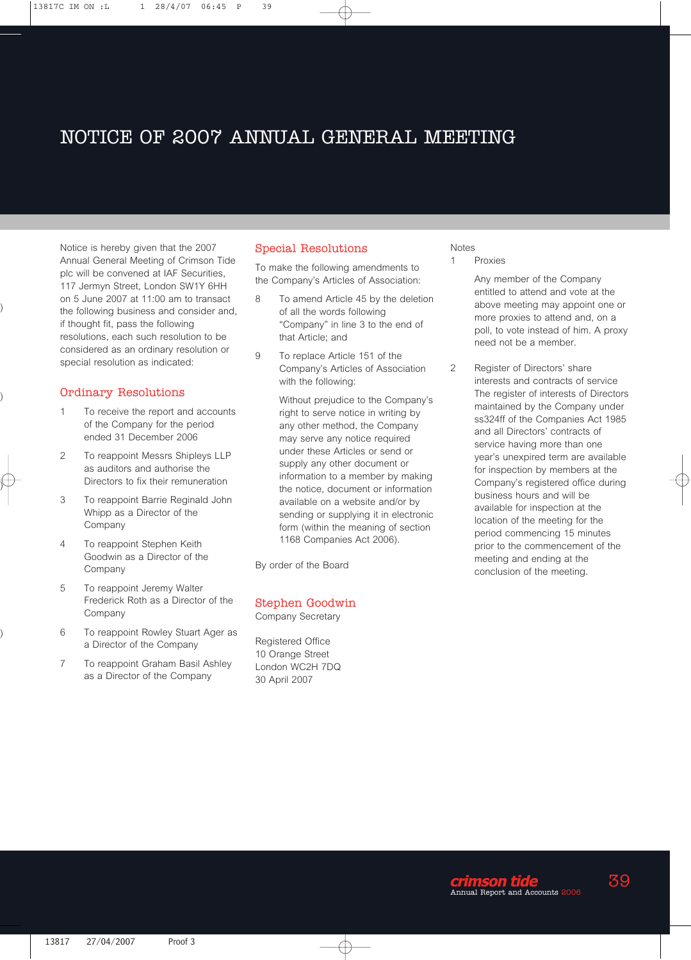## NOTICE OF 2007 ANNUAL GENERAL MEETING

Notice is hereby given that the 2007 Annual General Meeting of Crimson Tide plc will be convened at IAF Securities, 117 Jermyn Street, London SW1Y 6HH on 5 June 2007 at 11:00 am to transact the following business and consider and, if thought fit, pass the following resolutions, each such resolution to be considered as an ordinary resolution or special resolution as indicated:

## Ordinary Resolutions

- 1 To receive the report and accounts of the Company for the period ended 31 December 2006
- 2 To reappoint Messrs Shipleys LLP as auditors and authorise the Directors to fix their remuneration
- 3 To reappoint Barrie Reginald John Whipp as a Director of the Company
- 4 To reappoint Stephen Keith Goodwin as a Director of the Company
- 5 To reappoint Jeremy Walter Frederick Roth as a Director of the Company
- 6 To reappoint Rowley Stuart Ager as a Director of the Company
- 7 To reappoint Graham Basil Ashley as a Director of the Company

## Special Resolutions

To make the following amendments to the Company's Articles of Association:

- 8 To amend Article 45 by the deletion of all the words following "Company" in line 3 to the end of that Article; and
- 9 To replace Article 151 of the Company's Articles of Association with the following:

Without prejudice to the Company's right to serve notice in writing by any other method, the Company may serve any notice required under these Articles or send or supply any other document or information to a member by making the notice, document or information available on a website and/or by sending or supplying it in electronic form (within the meaning of section 1168 Companies Act 2006).

By order of the Board

### Stephen Goodwin

Company Secretary

Registered Office 10 Orange Street London WC2H 7DQ 30 April 2007

## Notes

**Proxies** 

Any member of the Company entitled to attend and vote at the above meeting may appoint one or more proxies to attend and, on a poll, to vote instead of him. A proxy need not be a member.

2 Register of Directors' share interests and contracts of service The register of interests of Directors maintained by the Company under ss324ff of the Companies Act 1985 and all Directors' contracts of service having more than one year's unexpired term are available for inspection by members at the Company's registered office during business hours and will be available for inspection at the location of the meeting for the period commencing 15 minutes prior to the commencement of the meeting and ending at the conclusion of the meeting.

39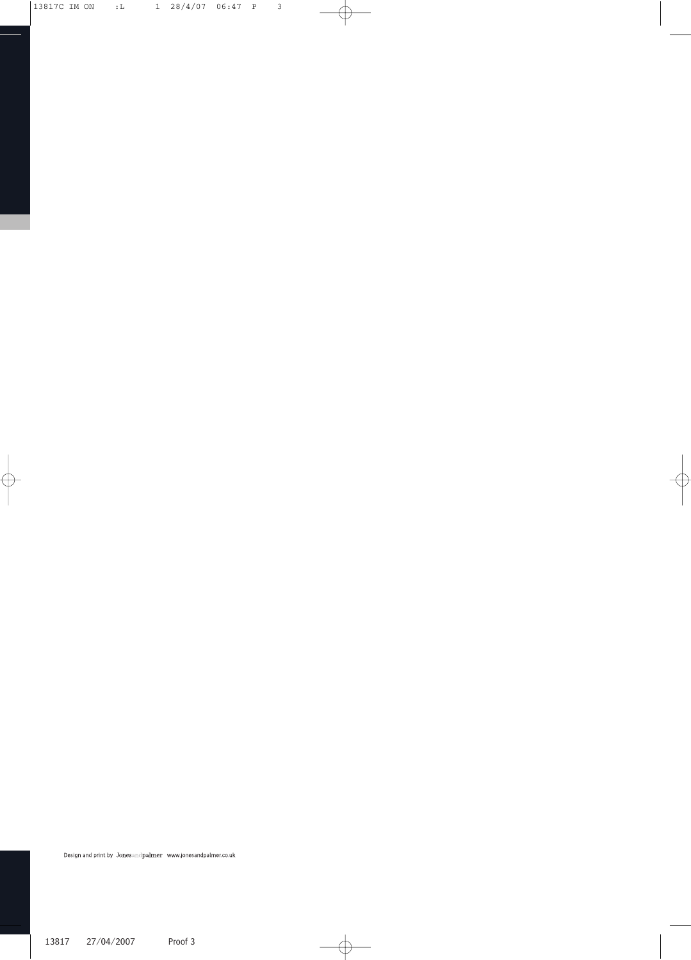Design and print by Jonesandpalmer www.jonesandpalmer.co.uk